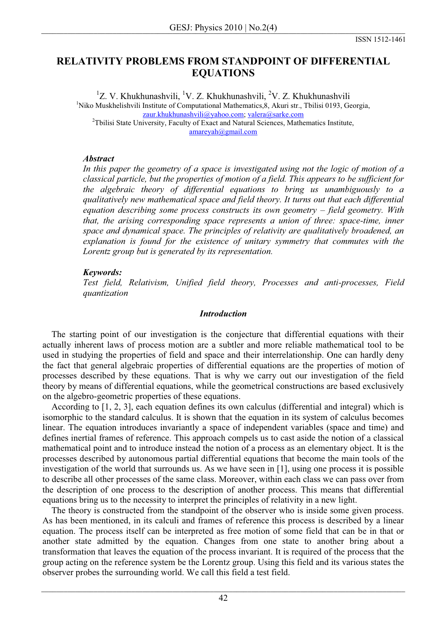# **RELATIVITY PROBLEMS FROM STANDPOINT OF DIFFERENTIAL EQUATIONS**

<sup>1</sup>Z. V. Khukhunashvili, <sup>1</sup>V. Z. Khukhunashvili, <sup>2</sup>V. Z. Khukhunashvili <sup>1</sup>Niko Muskhelishvili Institute of Computational Mathematics, 8, Akuri str., Tbilisi 0193, Georgia, zaur.khukhunashvili@yahoo.com; valera@sarke.com <sup>2</sup>Tbilisi State University, Faculty of Exact and Natural Sciences, Mathematics Institute, amareyah@gmail.com

# *Abstract*

*In this paper the geometry of a space is investigated using not the logic of motion of a classical particle, but the properties of motion of a field. This appears to be sufficient for the algebraic theory of differential equations to bring us unambiguously to a qualitatively new mathematical space and field theory. It turns out that each differential equation describing some process constructs its own geometry – field geometry. With that, the arising corresponding space represents a union of three: space-time, inner space and dynamical space. The principles of relativity are qualitatively broadened, an explanation is found for the existence of unitary symmetry that commutes with the Lorentz group but is generated by its representation.* 

# *Keywords:*

*Test field, Relativism, Unified field theory, Processes and anti-processes, Field quantization* 

## *Introduction*

The starting point of our investigation is the conjecture that differential equations with their actually inherent laws of process motion are a subtler and more reliable mathematical tool to be used in studying the properties of field and space and their interrelationship. One can hardly deny the fact that general algebraic properties of differential equations are the properties of motion of processes described by these equations. That is why we carry out our investigation of the field theory by means of differential equations, while the geometrical constructions are based exclusively on the algebro-geometric properties of these equations.

 According to [1, 2, 3], each equation defines its own calculus (differential and integral) which is isomorphic to the standard calculus. It is shown that the equation in its system of calculus becomes linear. The equation introduces invariantly a space of independent variables (space and time) and defines inertial frames of reference. This approach compels us to cast aside the notion of a classical mathematical point and to introduce instead the notion of a process as an elementary object. It is the processes described by autonomous partial differential equations that become the main tools of the investigation of the world that surrounds us. As we have seen in [1], using one process it is possible to describe all other processes of the same class. Moreover, within each class we can pass over from the description of one process to the description of another process. This means that differential equations bring us to the necessity to interpret the principles of relativity in a new light.

 The theory is constructed from the standpoint of the observer who is inside some given process. As has been mentioned, in its calculi and frames of reference this process is described by a linear equation. The process itself can be interpreted as free motion of some field that can be in that or another state admitted by the equation. Changes from one state to another bring about a transformation that leaves the equation of the process invariant. It is required of the process that the group acting on the reference system be the Lorentz group. Using this field and its various states the observer probes the surrounding world. We call this field a test field.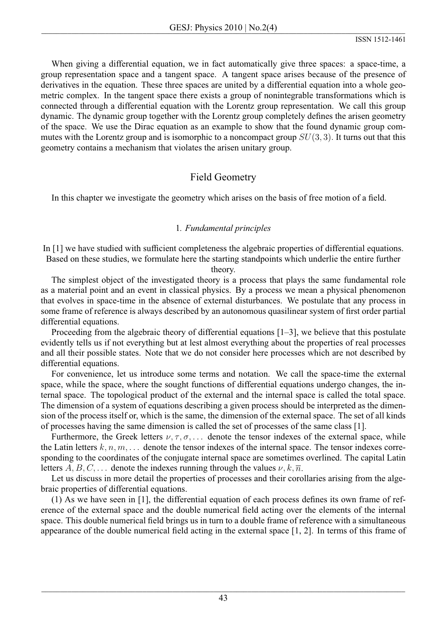When giving a differential equation, we in fact automatically give three spaces: a space-time, a group representation space and a tangent space. A tangent space arises because of the presence of derivatives in the equation. These three spaces are united by a differential equation into a whole geometric complex. In the tangent space there exists a group of nonintegrable transformations which is connected through a differential equation with the Lorentz group representation. We call this group dynamic. The dynamic group together with the Lorentz group completely defines the arisen geometry of the space. We use the Dirac equation as an example to show that the found dynamic group commutes with the Lorentz group and is isomorphic to a noncompact group  $SU(3,3)$ . It turns out that this geometry contains a mechanism that violates the arisen unitary group.

# **Field Geometry**

In this chapter we investigate the geometry which arises on the basis of free motion of a field.

# 1. Fundamental principles

In  $[1]$  we have studied with sufficient completeness the algebraic properties of differential equations. Based on these studies, we formulate here the starting standpoints which underlie the entire further

theory.

The simplest object of the investigated theory is a process that plays the same fundamental role as a material point and an event in classical physics. By a process we mean a physical phenomenon that evolves in space-time in the absence of external disturbances. We postulate that any process in some frame of reference is always described by an autonomous quasilinear system of first order partial differential equations.

Proceeding from the algebraic theory of differential equations  $[1-3]$ , we believe that this postulate evidently tells us if not everything but at lest almost everything about the properties of real processes and all their possible states. Note that we do not consider here processes which are not described by differential equations.

For convenience, let us introduce some terms and notation. We call the space-time the external space, while the space, where the sought functions of differential equations undergo changes, the internal space. The topological product of the external and the internal space is called the total space. The dimension of a system of equations describing a given process should be interpreted as the dimension of the process itself or, which is the same, the dimension of the external space. The set of all kinds of processes having the same dimension is called the set of processes of the same class [1].

Furthermore, the Greek letters  $\nu, \tau, \sigma, \ldots$  denote the tensor indexes of the external space, while the Latin letters  $k, n, m, \ldots$  denote the tensor indexes of the internal space. The tensor indexes corresponding to the coordinates of the conjugate internal space are sometimes overlined. The capital Latin letters A, B, C, ... denote the indexes running through the values  $\nu, k, \overline{n}$ .

Let us discuss in more detail the properties of processes and their corollaries arising from the algebraic properties of differential equations.

(1) As we have seen in [1], the differential equation of each process defines its own frame of reference of the external space and the double numerical field acting over the elements of the internal space. This double numerical field brings us in turn to a double frame of reference with a simultaneous appearance of the double numerical field acting in the external space  $[1, 2]$ . In terms of this frame of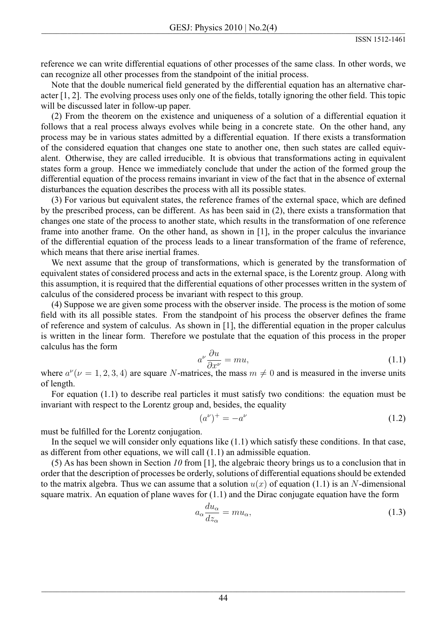reference we can write differential equations of other processes of the same class. In other words, we can recognize all other processes from the standpoint of the initial process.

Note that the double numerical field generated by the differential equation has an alternative character  $[1, 2]$ . The evolving process uses only one of the fields, totally ignoring the other field. This topic will be discussed later in follow-up paper.

(2) From the theorem on the existence and uniqueness of a solution of a differential equation it follows that a real process always evolves while being in a concrete state. On the other hand, any process may be in various states admitted by a differential equation. If there exists a transformation of the considered equation that changes one state to another one, then such states are called equivalent. Otherwise, they are called irreducible. It is obvious that transformations acting in equivalent states form a group. Hence we immediately conclude that under the action of the formed group the differential equation of the process remains invariant in view of the fact that in the absence of external disturbances the equation describes the process with all its possible states.

(3) For various but equivalent states, the reference frames of the external space, which are defined by the prescribed process, can be different. As has been said in (2), there exists a transformation that changes one state of the process to another state, which results in the transformation of one reference frame into another frame. On the other hand, as shown in [1], in the proper calculus the invariance of the differential equation of the process leads to a linear transformation of the frame of reference, which means that there arise inertial frames.

We next assume that the group of transformations, which is generated by the transformation of equivalent states of considered process and acts in the external space, is the Lorentz group. Along with this assumption, it is required that the differential equations of other processes written in the system of calculus of the considered process be invariant with respect to this group.

(4) Suppose we are given some process with the observer inside. The process is the motion of some field with its all possible states. From the standpoint of his process the observer defines the frame of reference and system of calculus. As shown in [1], the differential equation in the proper calculus is written in the linear form. Therefore we postulate that the equation of this process in the proper calculus has the form

$$
a^{\nu} \frac{\partial u}{\partial x^{\nu}} = mu,
$$
\n(1.1)

where  $a^{\nu}(\nu = 1, 2, 3, 4)$  are square N-matrices, the mass  $m \neq 0$  and is measured in the inverse units of length.

For equation  $(1.1)$  to describe real particles it must satisfy two conditions: the equation must be invariant with respect to the Lorentz group and, besides, the equality

$$
(a^{\nu})^{+} = -a^{\nu} \tag{1.2}
$$

must be fulfilled for the Lorentz conjugation.

In the sequel we will consider only equations like  $(1.1)$  which satisfy these conditions. In that case, as different from other equations, we will call  $(1.1)$  an admissible equation.

(5) As has been shown in Section 10 from [1], the algebraic theory brings us to a conclusion that in order that the description of processes be orderly, solutions of differential equations should be extended to the matrix algebra. Thus we can assume that a solution  $u(x)$  of equation (1.1) is an N-dimensional square matrix. An equation of plane waves for  $(1.1)$  and the Dirac conjugate equation have the form

$$
a_{\alpha} \frac{du_{\alpha}}{dz_{\alpha}} = mu_{\alpha},\tag{1.3}
$$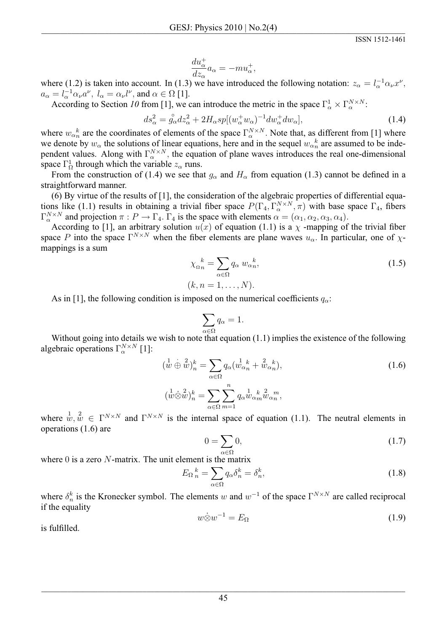$$
\frac{du_{\alpha}^{+}}{dz_{\alpha}}a_{\alpha} = -mu_{\alpha}^{+},
$$

where (1.2) is taken into account. In (1.3) we have introduced the following notation:  $z_{\alpha} = l_{\alpha}^{-1} \alpha_{\nu} x^{\nu}$ ,  $a_{\alpha} = l_{\alpha}^{-1} \alpha_{\nu} a^{\nu}$ ,  $l_{\alpha} = \alpha_{\nu} l^{\nu}$ , and  $\alpha \in \Omega$  [1].

According to Section 10 from [1], we can introduce the metric in the space  $\Gamma^1_{\alpha} \times \Gamma^{N \times N}_{\alpha}$ .

$$
ds_{\alpha}^{2} = \overset{\circ}{g_{\alpha}} dz_{\alpha}^{2} + 2H_{\alpha}sp[(w_{\alpha}^{+}w_{\alpha})^{-1}dw_{\alpha}^{+}dw_{\alpha}], \qquad (1.4)
$$

where  $w_{\alpha_n}^k$  are the coordinates of elements of the space  $\Gamma_\alpha^{N \times N}$ . Note that, as different from [1] where we denote by  $w_{\alpha}$  the solutions of linear equations, here and in the sequel  $w_{\alpha}^{k}$  are assumed to be independent values. Along with  $\Gamma_\alpha^{N \times N}$ , the equation of plane waves introduces the real one-dimensional space  $\Gamma_{\Omega}^{1}$  through which the variable  $z_{\alpha}$  runs.

From the construction of (1.4) we see that  $g_{\alpha}$  and  $H_{\alpha}$  from equation (1.3) cannot be defined in a straightforward manner.

(6) By virtue of the results of  $[1]$ , the consideration of the algebraic properties of differential equations like (1.1) results in obtaining a trivial fiber space  $P(\Gamma_4, \Gamma_\alpha^{N \times N}, \pi)$  with base space  $\Gamma_4$ , fibers  $\Gamma_{\alpha}^{N \times N}$  and projection  $\pi : P \to \Gamma_4$ .  $\Gamma_4$  is the space with elements  $\alpha = (\alpha_1, \alpha_2, \alpha_3, \alpha_4)$ .

According to [1], an arbitrary solution  $u(x)$  of equation (1.1) is a  $\chi$  -mapping of the trivial fiber space P into the space  $\Gamma^{N \times N}$  when the fiber elements are plane waves  $u_{\alpha}$ . In particular, one of  $\chi$ mappings is a sum

$$
\chi_{\Omega_n}^{\ \ k} = \sum_{\alpha \in \Omega} q_\alpha \, w_{\alpha_n}^{\ \ k},
$$
\n
$$
(k, n = 1, \dots, N).
$$
\n(1.5)

As in [1], the following condition is imposed on the numerical coefficients  $q_{\alpha}$ :

$$
\sum_{\alpha \in \Omega} q_{\alpha} = 1
$$

Without going into details we wish to note that equation  $(1.1)$  implies the existence of the following algebraic operations  $\Gamma_{\alpha}^{N \times N}$  [1]:

$$
\begin{aligned}\n(\stackrel{1}{w}\stackrel{\cdot}{\oplus}\stackrel{2}{w})_n^k &= \sum_{\alpha \in \Omega} q_\alpha (w_{\alpha n}^{1-k} + w_{\alpha n}^{2-k}), \\
(\stackrel{1}{w}\stackrel{\cdot}{\otimes}\stackrel{2}{w})_n^k &= \sum_{\alpha \in \Omega} \sum_{m=1}^n q_\alpha w_{\alpha m}^{1-k} w_{\alpha n}^{2m},\n\end{aligned} \tag{1.6}
$$

where  $w, w \in \Gamma^{N \times N}$  and  $\Gamma^{N \times N}$  is the internal space of equation (1.1). The neutral elements in operations  $(1.6)$  are

$$
0 = \sum_{\alpha \in \Omega} 0,\tag{1.7}
$$

where  $0$  is a zero  $N$ -matrix. The unit element is the matrix

$$
E_{\Omega}{}_{n}^{k} = \sum_{\alpha \in \Omega} q_{\alpha} \delta_{n}^{k} = \delta_{n}^{k}, \qquad (1.8)
$$

where  $\delta_n^k$  is the Kronecker symbol. The elements w and  $w^{-1}$  of the space  $\Gamma^{N \times N}$  are called reciprocal if the equality

$$
w \dot{\otimes} w^{-1} = E_{\Omega} \tag{1.9}
$$

is fulfilled.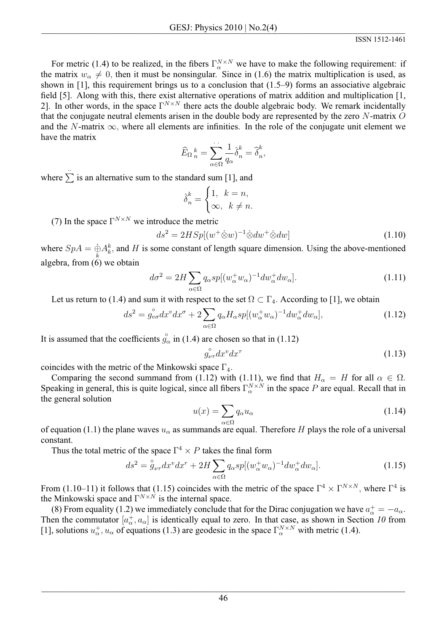For metric (1.4) to be realized, in the fibers  $\Gamma_\alpha^{N \times N}$  we have to make the following requirement: if the matrix  $w_\alpha \neq 0$ , then it must be nonsingular. Since in (1.6) the matrix multiplication is used, as shown in [1], this requirement brings us to a conclusion that  $(1.5-9)$  forms an associative algebraic field [5]. Along with this, there exist alternative operations of matrix addition and multiplication [1, 2]. In other words, in the space  $\Gamma^{N \times N}$  there acts the double algebraic body. We remark incidentally that the conjugate neutral elements arisen in the double body are represented by the zero  $N$ -matrix  $O$ and the N-matrix  $\infty$ , where all elements are infinities. In the role of the conjugate unit element we have the matrix

$$
\widehat{E}_{\Omega}^{\ \ k}_{\ n} = \sum_{\alpha \in \Omega} \frac{1}{q_{\alpha}} \widehat{\delta}_{n}^{k} = \widehat{\delta}_{n}^{k},
$$

where  $\sum_{n=1}^{\infty}$  is an alternative sum to the standard sum [1], and

$$
\hat{\delta}_n^k = \begin{cases} 1, & k = n, \\ \infty, & k \neq n. \end{cases}
$$

(7) In the space  $\Gamma^{N \times N}$  we introduce the metric

$$
ds^2 = 2HSp[(w^+\dot{\otimes}w)^{-1}\dot{\otimes}dw^+\dot{\otimes}dw]
$$
\n(1.10)

where  $SpA = \dot{\oplus} A_k^k$ , and H is some constant of length square dimension. Using the above-mentioned algebra, from  $(6)$  we obtain

$$
d\sigma^2 = 2H \sum_{\alpha \in \Omega} q_{\alpha} sp[(w_{\alpha}^+ w_{\alpha})^{-1} dw_{\alpha}^+ dw_{\alpha}]. \tag{1.11}
$$

Let us return to (1.4) and sum it with respect to the set  $\Omega \subset \Gamma_4$ . According to [1], we obtain

$$
ds^{2} = g_{\nu\sigma}^{\circ} dx^{\nu} dx^{\sigma} + 2 \sum_{\alpha \in \Omega} q_{\alpha} H_{\alpha} sp[(w_{\alpha}^{+} w_{\alpha})^{-1} dw_{\alpha}^{+} dw_{\alpha}], \qquad (1.12)
$$

It is assumed that the coefficients  $g_{\alpha}^{\circ}$  in (1.4) are chosen so that in (1.12)

$$
g_{\nu\tau}^{\circ}dx^v dx^{\tau} \tag{1.13}
$$

coincides with the metric of the Minkowski space  $\Gamma_4$ .

Comparing the second summand from (1.12) with (1.11), we find that  $H_{\alpha} = H$  for all  $\alpha \in \Omega$ .<br>Speaking in general, this is quite logical, since all fibers  $\Gamma_{\alpha}^{N \times N}$  in the space P are equal. Recall that in the general solution

$$
u(x) = \sum_{\alpha \in \Omega} q_{\alpha} u_{\alpha} \tag{1.14}
$$

of equation (1.1) the plane waves  $u_{\alpha}$  as summands are equal. Therefore H plays the role of a universal constant.

Thus the total metric of the space  $\Gamma^4 \times P$  takes the final form

$$
ds^2 = \mathring{g}_{\nu\tau} dx^v dx^r + 2H \sum_{\alpha \in \Omega} q_\alpha sp [(w_\alpha^+ w_\alpha)^{-1} dw_\alpha^+ dw_\alpha]. \tag{1.15}
$$

From (1.10–11) it follows that (1.15) coincides with the metric of the space  $\Gamma^4 \times \Gamma^{N \times N}$ , where  $\Gamma^4$  is the Minkowski space and  $\Gamma^{N \times N}$  is the internal space.

(8) From equality (1.2) we immediately conclude that for the Dirac conjugation we have  $a^+_{\alpha} = -a_{\alpha}$ . Then the commutator  $[a^+_{\alpha}, a_{\alpha}]$  is identically equal to zero. In that case, as shown in Section 10 from [1], solutions  $u^+_{\alpha}$ ,  $u_{\alpha}$  of equations (1.3) are geodesic in the space  $\Gamma^{N \times N}_{\alpha}$  with metric (1.4).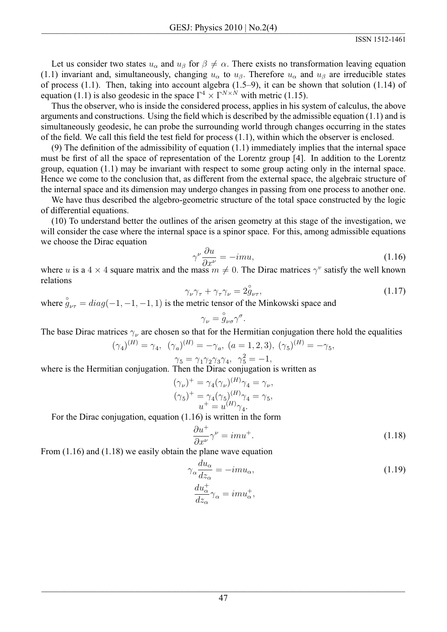Let us consider two states  $u_{\alpha}$  and  $u_{\beta}$  for  $\beta \neq \alpha$ . There exists no transformation leaving equation (1.1) invariant and, simultaneously, changing  $u_{\alpha}$  to  $u_{\beta}$ . Therefore  $u_{\alpha}$  and  $u_{\beta}$  are irreducible states of process  $(1.1)$ . Then, taking into account algebra  $(1.5-9)$ , it can be shown that solution  $(1.14)$  of equation (1.1) is also geodesic in the space  $\Gamma^4 \times \Gamma^{N \times N}$  with metric (1.15).

Thus the observer, who is inside the considered process, applies in his system of calculus, the above arguments and constructions. Using the field which is described by the admissible equation  $(1.1)$  and is simultaneously geodesic, he can probe the surrounding world through changes occurring in the states of the field. We call this field the test field for process  $(1.1)$ , within which the observer is enclosed.

 $(9)$  The definition of the admissibility of equation  $(1.1)$  immediately implies that the internal space must be first of all the space of representation of the Lorentz group [4]. In addition to the Lorentz group, equation  $(1.1)$  may be invariant with respect to some group acting only in the internal space. Hence we come to the conclusion that, as different from the external space, the algebraic structure of the internal space and its dimension may undergo changes in passing from one process to another one.

We have thus described the algebro-geometric structure of the total space constructed by the logic of differential equations.

(10) To understand better the outlines of the arisen geometry at this stage of the investigation, we will consider the case where the internal space is a spinor space. For this, among admissible equations we choose the Dirac equation

$$
\gamma^{\nu} \frac{\partial u}{\partial x^{\nu}} = -imu,\tag{1.16}
$$

where u is a 4  $\times$  4 square matrix and the mass  $m \neq 0$ . The Dirac matrices  $\gamma^v$  satisfy the well known relations

$$
\gamma_{\nu}\gamma_{\tau} + \gamma_{\tau}\gamma_{\nu} = 2\overset{\circ}{g}_{\nu\tau},\tag{1.17}
$$

where  $\hat{g}_{\mu\tau} = diag(-1, -1, -1, 1)$  is the metric tensor of the Minkowski space and

$$
\gamma_{\nu} = \overset{\circ}{g}_{\nu\sigma} \gamma^{\sigma}.
$$

The base Dirac matrices  $\gamma_{\nu}$  are chosen so that for the Hermitian conjugation there hold the equalities

$$
(\gamma_4)^{(H)} = \gamma_4, \ \ (\gamma_a)^{(H)} = -\gamma_a, \ \ (a = 1, 2, 3), \ \ (\gamma_5)^{(H)} = -\gamma_5, \n\gamma_5 = \gamma_1 \gamma_2 \gamma_3 \gamma_4, \ \ \gamma_5^2 = -1,
$$

where is the Hermitian conjugation. Then the Dirac conjugation is written as

$$
(\gamma_{\nu})^{+} = \gamma_{4}(\gamma_{\nu})^{(H)}\gamma_{4} = \gamma_{\nu},
$$
  
\n
$$
(\gamma_{5})^{+} = \gamma_{4}(\gamma_{5})^{(H)}\gamma_{4} = \gamma_{5},
$$
  
\n
$$
u^{+} = u^{(H)}\gamma_{4}.
$$

For the Dirac conjugation, equation  $(1.16)$  is written in the form

$$
\frac{\partial u^+}{\partial x^{\nu}} \gamma^{\nu} = imu^+.
$$
\n(1.18)

From  $(1.16)$  and  $(1.18)$  we easily obtain the plane wave equation

$$
\gamma_{\alpha} \frac{du_{\alpha}}{dz_{\alpha}} = -im u_{\alpha},\tag{1.19}
$$
\n
$$
\frac{du_{\alpha}^{+}}{dz_{\alpha}} \gamma_{\alpha} = im u_{\alpha}^{+},
$$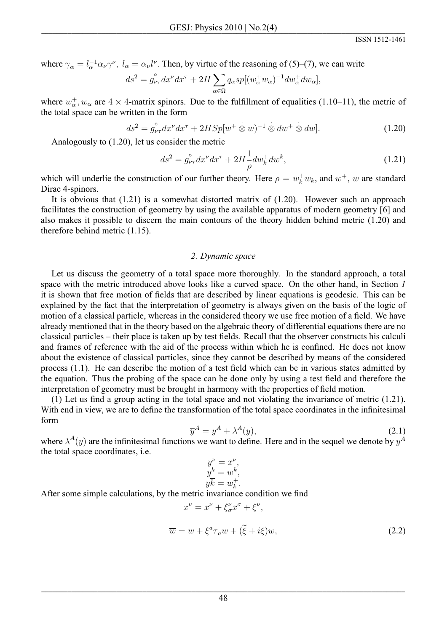where  $\gamma_{\alpha} = l_{\alpha}^{-1} \alpha_{\nu} \gamma^{\nu}$ ,  $l_{\alpha} = \alpha_{\nu} l^{\nu}$ . Then, by virtue of the reasoning of (5)–(7), we can write

$$
ds^{2} = g_{\nu\tau}^{\circ}dx^{\nu}dx^{\tau} + 2H\sum_{\alpha \in \Omega} q_{\alpha}sp[(w_{\alpha}^{+}w_{\alpha})^{-1}dw_{\alpha}^{+}dw_{\alpha}],
$$

where  $w_{\alpha}^+$ ,  $w_{\alpha}$  are  $4 \times 4$ -matrix spinors. Due to the fulfillment of equalities (1.10–11), the metric of the total space can be written in the form

$$
ds^{2} = g_{\nu\tau}^{\circ} dx^{\nu} dx^{\tau} + 2HSp[w^{+} \otimes w)^{-1} \otimes dw^{+} \otimes dw].
$$
 (1.20)

Analogously to  $(1.20)$ , let us consider the metric

$$
ds^{2} = g_{\nu\tau}^{\circ} dx^{\nu} dx^{\tau} + 2H \frac{1}{\rho} dw_{k}^{+} dw^{k}, \qquad (1.21)
$$

which will underlie the construction of our further theory. Here  $\rho = w_k^+ w_k$ , and  $w^+$ , w are standard Dirac 4-spinors.

It is obvious that  $(1.21)$  is a somewhat distorted matrix of  $(1.20)$ . However such an approach facilitates the construction of geometry by using the available apparatus of modern geometry [6] and also makes it possible to discern the main contours of the theory hidden behind metric (1.20) and therefore behind metric  $(1.15)$ .

#### 2. Dynamic space

Let us discuss the geometry of a total space more thoroughly. In the standard approach, a total space with the metric introduced above looks like a curved space. On the other hand, in Section 1 it is shown that free motion of fields that are described by linear equations is geodesic. This can be explained by the fact that the interpretation of geometry is always given on the basis of the logic of motion of a classical particle, whereas in the considered theory we use free motion of a field. We have already mentioned that in the theory based on the algebraic theory of differential equations there are no classical particles – their place is taken up by test fields. Recall that the observer constructs his calculi and frames of reference with the aid of the process within which he is confined. He does not know about the existence of classical particles, since they cannot be described by means of the considered process (1.1). He can describe the motion of a test field which can be in various states admitted by the equation. Thus the probing of the space can be done only by using a test field and therefore the interpretation of geometry must be brought in harmony with the properties of field motion.

(1) Let us find a group acting in the total space and not violating the invariance of metric  $(1.21)$ . With end in view, we are to define the transformation of the total space coordinates in the infinitesimal form

$$
\overline{y}^A = y^A + \lambda^A(y),\tag{2.1}
$$

where  $\lambda^{A}(y)$  are the infinitesimal functions we want to define. Here and in the sequel we denote by  $y^{A}$ the total space coordinates, i.e.

$$
y^{\nu} = x^{\nu},
$$
  
\n
$$
y^k = w^k,
$$
  
\n
$$
y\overline{k} = w^+_k.
$$

 $\overline{r}^{\nu} = r^{\nu} + \xi^{\nu} r^{\sigma} + \xi^{\nu}$ 

After some simple calculations, by the metric invariance condition we find

$$
\overline{w} = w + \xi^a \tau_a w + (\tilde{\xi} + i\xi) w,
$$
\n(2.2)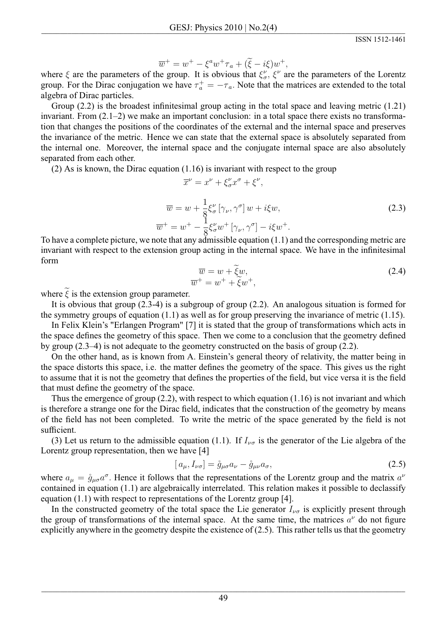$$
\overline{w}^+ = w^+ - \xi^a w^+ \tau_a + (\widetilde{\xi} - i\xi) w^+,
$$

where  $\xi$  are the parameters of the group. It is obvious that  $\xi^{\nu}_{\sigma}$ ,  $\xi^{\nu}$  are the parameters of the Lorentz group. For the Dirac conjugation we have  $\tau_a^+ = -\tau_a$ . Note that the matrices are extended to the total algebra of Dirac particles.

Group  $(2.2)$  is the broadest infinitesimal group acting in the total space and leaving metric  $(1.21)$ invariant. From  $(2.1-2)$  we make an important conclusion: in a total space there exists no transformation that changes the positions of the coordinates of the external and the internal space and preserves the invariance of the metric. Hence we can state that the external space is absolutely separated from the internal one. Moreover, the internal space and the conjugate internal space are also absolutely separated from each other.

 $(2)$  As is known, the Dirac equation  $(1.16)$  is invariant with respect to the group

$$
\overline{x}^{\nu} = x^{\nu} + \xi_{\sigma}^{\nu} x^{\sigma} + \xi^{\nu},
$$
  
\n
$$
\overline{w} = w + \frac{1}{8} \xi_{\sigma}^{\nu} [\gamma_{\nu}, \gamma^{\sigma}] w + i \xi w,
$$
  
\n
$$
\overline{w}^{+} = w^{+} - \frac{1}{8} \xi_{\sigma}^{\nu} w^{+} [\gamma_{\nu}, \gamma^{\sigma}] - i \xi w^{+}.
$$
\n(2.3)

To have a complete picture, we note that any admissible equation  $(1.1)$  and the corresponding metric are invariant with respect to the extension group acting in the internal space. We have in the infinitesimal form

$$
\overline{w} = w + \widetilde{\xi}w,
$$
  
\n
$$
\overline{w}^+ = w^+ + \widetilde{\xi}w^+,
$$
\n(2.4)

where  $\tilde{\xi}$  is the extension group parameter.

It is obvious that group  $(2.3-4)$  is a subgroup of group  $(2.2)$ . An analogous situation is formed for the symmetry groups of equation  $(1.1)$  as well as for group preserving the invariance of metric  $(1.15)$ .

In Felix Klein's "Erlangen Program" [7] it is stated that the group of transformations which acts in the space defines the geometry of this space. Then we come to a conclusion that the geometry defined by group  $(2.3-4)$  is not adequate to the geometry constructed on the basis of group  $(2.2)$ .

On the other hand, as is known from A. Einstein's general theory of relativity, the matter being in the space distorts this space, i.e. the matter defines the geometry of the space. This gives us the right to assume that it is not the geometry that defines the properties of the field, but vice versa it is the field that must define the geometry of the space.

Thus the emergence of group  $(2.2)$ , with respect to which equation  $(1.16)$  is not invariant and which is therefore a strange one for the Dirac field, indicates that the construction of the geometry by means of the field has not been completed. To write the metric of the space generated by the field is not sufficient.

(3) Let us return to the admissible equation (1.1). If  $I_{\nu\sigma}$  is the generator of the Lie algebra of the Lorentz group representation, then we have [4]

$$
[a_{\mu}, I_{\nu\sigma}] = \mathring{g}_{\mu\sigma} a_{\nu} - \mathring{g}_{\mu\nu} a_{\sigma}, \qquad (2.5)
$$

where  $a_{\mu} = \mathring{g}_{\mu\sigma}a^{\sigma}$ . Hence it follows that the representations of the Lorentz group and the matrix  $a^{\nu}$ contained in equation (1.1) are algebraically interrelated. This relation makes it possible to declassify equation  $(1.1)$  with respect to representations of the Lorentz group [4].

In the constructed geometry of the total space the Lie generator  $I_{\nu\sigma}$  is explicitly present through the group of transformations of the internal space. At the same time, the matrices  $a^{\nu}$  do not figure explicitly anywhere in the geometry despite the existence of  $(2.5)$ . This rather tells us that the geometry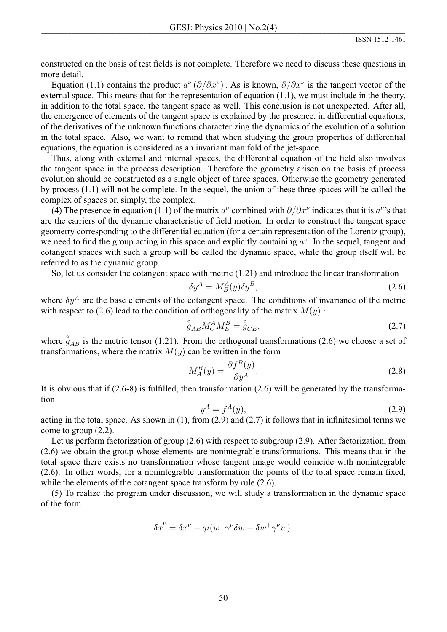constructed on the basis of test fields is not complete. Therefore we need to discuss these questions in more detail.

Equation (1.1) contains the product  $a^{\nu}(\partial/\partial x^{\nu})$ . As is known,  $\partial/\partial x^{\nu}$  is the tangent vector of the external space. This means that for the representation of equation  $(1.1)$ , we must include in the theory, in addition to the total space, the tangent space as well. This conclusion is not unexpected. After all, the emergence of elements of the tangent space is explained by the presence, in differential equations, of the derivatives of the unknown functions characterizing the dynamics of the evolution of a solution in the total space. Also, we want to remind that when studying the group properties of differential equations, the equation is considered as an invariant manifold of the jet-space.

Thus, along with external and internal spaces, the differential equation of the field also involves the tangent space in the process description. Therefore the geometry arisen on the basis of process evolution should be constructed as a single object of three spaces. Otherwise the geometry generated by process  $(1.1)$  will not be complete. In the sequel, the union of these three spaces will be called the complex of spaces or, simply, the complex.

(4) The presence in equation (1.1) of the matrix  $a^{\nu}$  combined with  $\partial/\partial x^{\nu}$  indicates that it is  $a^{\nu}$ 's that are the carriers of the dynamic characteristic of field motion. In order to construct the tangent space geometry corresponding to the differential equation (for a certain representation of the Lorentz group), we need to find the group acting in this space and explicitly containing  $a^{\nu}$ . In the sequel, tangent and cotangent spaces with such a group will be called the dynamic space, while the group itself will be referred to as the dynamic group.

So, let us consider the cotangent space with metric  $(1.21)$  and introduce the linear transformation

$$
\overline{\delta}y^A = M_B^A(y)\delta y^B,\tag{2.6}
$$

where  $\delta y^A$  are the base elements of the cotangent space. The conditions of invariance of the metric with respect to (2.6) lead to the condition of orthogonality of the matrix  $M(y)$ :

$$
j_{AB}M_C^A M_E^B = \stackrel{\circ}{g}_{CE},\tag{2.7}
$$

where  $\hat{g}_{AB}$  is the metric tensor (1.21). From the orthogonal transformations (2.6) we choose a set of transformations, where the matrix  $M(y)$  can be written in the form

$$
M_A^B(y) = \frac{\partial f^B(y)}{\partial y^A}.
$$
\n(2.8)

It is obvious that if  $(2.6-8)$  is fulfilled, then transformation  $(2.6)$  will be generated by the transformation

$$
\overline{y}^A = f^A(y),\tag{2.9}
$$

acting in the total space. As shown in  $(1)$ , from  $(2.9)$  and  $(2.7)$  it follows that in infinitesimal terms we come to group  $(2.2)$ .

Let us perform factorization of group  $(2.6)$  with respect to subgroup  $(2.9)$ . After factorization, from (2.6) we obtain the group whose elements are nonintegrable transformations. This means that in the total space there exists no transformation whose tangent image would coincide with nonintegrable (2.6). In other words, for a nonintegrable transformation the points of the total space remain fixed, while the elements of the cotangent space transform by rule  $(2.6)$ .

(5) To realize the program under discussion, we will study a transformation in the dynamic space of the form

$$
\overline{\delta x}^{\nu} = \delta x^{\nu} + qi(w^{+}\gamma^{\nu}\delta w - \delta w^{+}\gamma^{\nu}w),
$$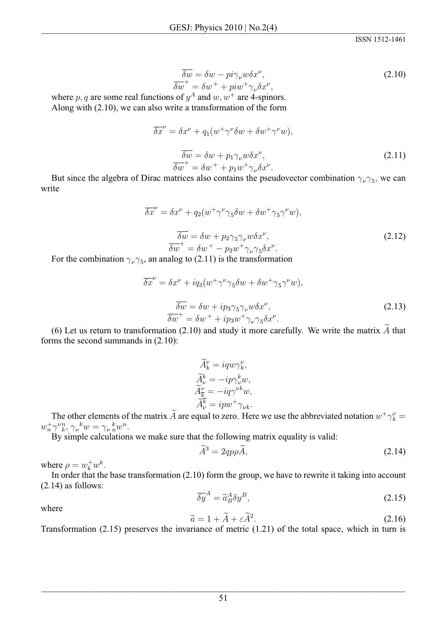$$
\overline{\delta w} = \delta w - \overline{pi} \gamma_{\nu} w \delta x^{\nu}, \n\overline{\delta w}^{+} = \delta w^{+} + \overline{pi} w^{+} \gamma_{\nu} \delta x^{\nu},
$$
\n(2.10)

where p, q are some real functions of  $y^A$  and  $w, w^+$  are 4-spinors. Along with  $(2.10)$ , we can also write a transformation of the form

$$
\overline{\delta x}^{\nu} = \delta x^{\nu} + q_1 (w^+ \gamma^{\nu} \delta w + \delta w^+ \gamma^{\nu} w),
$$
  

$$
\overline{\delta w} = \delta w + p_1 \gamma_{\nu} w \delta x^{\nu},
$$
  

$$
\overline{\delta w}^+ = \delta w^+ + p_1 w^+ \gamma_{\nu} \delta x^{\nu}.
$$
 (2.11)

But since the algebra of Dirac matrices also contains the pseudovector combination  $\gamma_{\nu}\gamma_5$ , we can write

$$
\overline{\delta x}^{\nu} = \delta x^{\nu} + q_2 (w^{\dagger} \gamma^{\nu} \gamma_5 \delta w + \delta w^{\dagger} \gamma_5 \gamma^{\nu} w),
$$
  

$$
\overline{\delta w} = \delta w + p_2 \gamma_5 \gamma_{\nu} w \delta x^{\nu},
$$
  

$$
\overline{\delta w}^{\dagger} = \delta w^{\dagger} - p_2 w^{\dagger} \gamma_{\nu} \gamma_5 \delta x^{\nu}.
$$
  
(2.12)

For the combination  $\gamma_{\nu} \gamma_5$ , an analog to (2.11) is the transformation

$$
\overline{\delta x}^{\nu} = \delta x^{\nu} + iq_3(w^+ \gamma^{\nu} \gamma_5 \delta w + \delta w^+ \gamma_5 \gamma^{\nu} w),
$$
  

$$
\overline{\delta w} = \delta w + ip_3 \gamma_5 \gamma_{\nu} w \delta x^{\nu},
$$
  

$$
\overline{\delta w}^+ = \delta w^+ + ip_3 w^+ \gamma_{\nu} \gamma_5 \delta x^{\nu}.
$$
  
(2.13)

(6) Let us return to transformation  $(2.10)$  and study it more carefully. We write the matrix  $\ddot{A}$  that forms the second summands in  $(2.10)$ :

$$
\begin{array}{c} \widetilde{A}_k^\nu = i q w \gamma_k^\nu, \\ \widetilde{A}_\nu^k = -i p \gamma_\nu^k w, \\ \widetilde{A}_k^\nu = -i q \gamma^{\nu k} w, \\ \widetilde{A}_\nu^{\overline{k}} = i p w^+ \gamma_{\nu k}. \end{array}
$$

The other elements of the matrix  $\widetilde{A}$  are equal to zero. Here we use the abbreviated notation  $w^+ \gamma_k^{\nu} =$  $w_n^+ \gamma_{k}^n$ ,  $\gamma_{k}^k w = \gamma_{k}^k w^n$ .

By simple calculations we make sure that the following matrix equality is valid:

$$
\widetilde{A}^3 = 2qp\rho \widetilde{A},\tag{2.14}
$$

where  $\rho = w_k^+ w^k$ .

In order that the base transformation  $(2.10)$  form the group, we have to rewrite it taking into account  $(2.14)$  as follows:

$$
\overline{\delta y}^A = \widetilde{a}_B^A \delta y^B,\tag{2.15}
$$

where

$$
\widetilde{a} = 1 + \widetilde{A} + \varepsilon \widetilde{A}^2. \tag{2.16}
$$

Transformation  $(2.15)$  preserves the invariance of metric  $(1.21)$  of the total space, which in turn is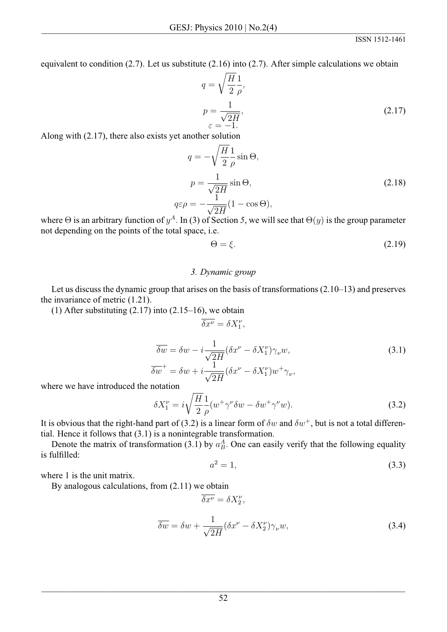equivalent to condition  $(2.7)$ . Let us substitute  $(2.16)$  into  $(2.7)$ . After simple calculations we obtain

$$
q = \sqrt{\frac{H}{2}} \frac{1}{\rho},
$$
  
\n
$$
p = \frac{1}{\sqrt{2H}},
$$
  
\n
$$
\varepsilon = -1.
$$
\n(2.17)

Along with  $(2.17)$ , there also exists yet another solution

$$
q = -\sqrt{\frac{H}{2}} \frac{1}{\rho} \sin \Theta,
$$
  
\n
$$
p = \frac{1}{\sqrt{2H}} \sin \Theta,
$$
  
\n
$$
q\varepsilon \rho = -\frac{1}{\sqrt{2H}} (1 - \cos \Theta),
$$
\n(2.18)

where  $\Theta$  is an arbitrary function of  $y^A$ . In (3) of Section 5, we will see that  $\Theta(y)$  is the group parameter not depending on the points of the total space, i.e.

$$
\Theta = \xi. \tag{2.19}
$$

#### 3. Dynamic group

Let us discuss the dynamic group that arises on the basis of transformations  $(2.10-13)$  and preserves the invariance of metric  $(1.21)$ .

(1) After substituting  $(2.17)$  into  $(2.15-16)$ , we obtain

$$
\overline{\delta x^{\nu}} = \delta X_1^{\nu},
$$

$$
\overline{\delta w} = \delta w - i \frac{1}{\sqrt{2H}} (\delta x^{\nu} - \delta X_1^{\nu}) \gamma_{\nu} w,
$$
  
\n
$$
\overline{\delta w}^+ = \delta w + i \frac{1}{\sqrt{2H}} (\delta x^{\nu} - \delta X_1^{\nu}) w^+ \gamma_{\nu},
$$
\n(3.1)

where we have introduced the notation

$$
\delta X_1^{\nu} = i \sqrt{\frac{H}{2}} \frac{1}{\rho} (w^+ \gamma^{\nu} \delta w - \delta w^+ \gamma^{\nu} w). \tag{3.2}
$$

It is obvious that the right-hand part of (3.2) is a linear form of  $\delta w$  and  $\delta w^+$ , but is not a total differential. Hence it follows that  $(3.1)$  is a nonintegrable transformation.

Denote the matrix of transformation (3.1) by  $a_B^A$ . One can easily verify that the following equality is fulfilled:

 $\overline{\delta x^{\nu}} = \delta X^{\nu}_{2},$ 

$$
a^2 = 1,\tag{3.3}
$$

where 1 is the unit matrix.

By analogous calculations, from  $(2.11)$  we obtain

$$
\overline{\delta w} = \delta w + \frac{1}{\sqrt{2H}} (\delta x^{\nu} - \delta X_2^{\nu}) \gamma_{\nu} w,
$$
\n(3.4)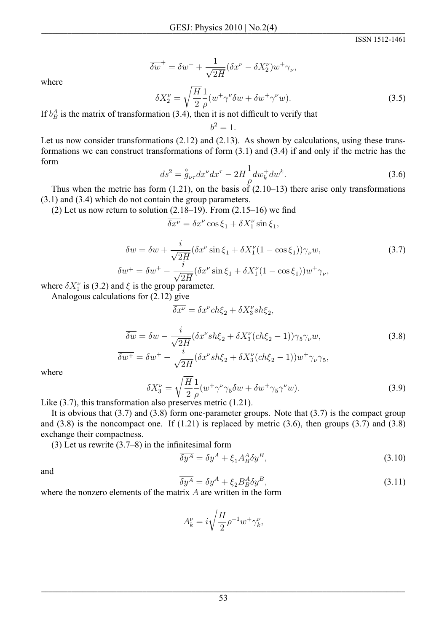$\overline{\delta w}^+ = \delta w^+ + \frac{1}{\sqrt{2H}} (\delta x^\nu - \delta X_2^\nu) w^+ \gamma_\nu,$ 

ISSN 1512-1461

where

$$
\delta X_2^{\nu} = \sqrt{\frac{H}{2}} \frac{1}{\rho} (w^+ \gamma^{\nu} \delta w + \delta w^+ \gamma^{\nu} w). \tag{3.5}
$$

If  $b<sub>B</sub><sup>A</sup>$  is the matrix of transformation (3.4), then it is not difficult to verify that

 $h^2=1$ 

Let us now consider transformations  $(2.12)$  and  $(2.13)$ . As shown by calculations, using these transformations we can construct transformations of form  $(3.1)$  and  $(3.4)$  if and only if the metric has the form

$$
ds^{2} = \overset{\circ}{g}_{\nu\tau} dx^{\nu} dx^{\tau} - 2H \frac{1}{\rho} dw_{k}^{+} dw^{k}.
$$
 (3.6)

Thus when the metric has form  $(1.21)$ , on the basis of  $(2.10-13)$  there arise only transformations  $(3.1)$  and  $(3.4)$  which do not contain the group parameters.

(2) Let us now return to solution  $(2.18-19)$ . From  $(2.15-16)$  we find

$$
\overline{\delta x^{\nu}} = \delta x^{\nu} \cos \xi_1 + \delta X_1^{\nu} \sin \xi_1,
$$

$$
\overline{\delta w} = \delta w + \frac{i}{\sqrt{2H}} (\delta x^{\nu} \sin \xi_1 + \delta X_1^{\nu} (1 - \cos \xi_1)) \gamma_{\nu} w,
$$
\n
$$
\overline{\delta w^+} = \delta w^+ - \frac{i}{\sqrt{2H}} (\delta x^{\nu} \sin \xi_1 + \delta X_1^{\nu} (1 - \cos \xi_1)) w^+ \gamma_{\nu},
$$
\n(3.7)

where  $\delta X_1^{\nu}$  is (3.2) and  $\xi$  is the group parameter.

Analogous calculations for  $(2.12)$  give

$$
\overline{\delta x^{\nu}} = \delta x^{\nu} ch \xi_2 + \delta X_3^{\nu} sh \xi_2,
$$

$$
\overline{\delta w} = \delta w - \frac{i}{\sqrt{2H}} (\delta x^{\nu} s h \xi_2 + \delta X_3^{\nu} (c h \xi_2 - 1)) \gamma_5 \gamma_{\nu} w,
$$
\n
$$
\overline{\delta w^+} = \delta w^+ - \frac{i}{\sqrt{2H}} (\delta x^{\nu} s h \xi_2 + \delta X_3^{\nu} (c h \xi_2 - 1)) w^+ \gamma_{\nu} \gamma_5,
$$
\n(3.8)

where

$$
\delta X_3^{\nu} = \sqrt{\frac{H}{2}} \frac{1}{\rho} (w^+ \gamma^{\nu} \gamma_5 \delta w + \delta w^+ \gamma_5 \gamma^{\nu} w). \tag{3.9}
$$

Like  $(3.7)$ , this transformation also preserves metric  $(1.21)$ .

It is obvious that  $(3.7)$  and  $(3.8)$  form one-parameter groups. Note that  $(3.7)$  is the compact group and  $(3.8)$  is the noncompact one. If  $(1.21)$  is replaced by metric  $(3.6)$ , then groups  $(3.7)$  and  $(3.8)$ exchange their compactness.

(3) Let us rewrite  $(3.7–8)$  in the infinitesimal form

$$
\overline{\delta y^A} = \delta y^A + \xi_1 A^A_B \delta y^B,\tag{3.10}
$$

and

$$
\overline{\delta y^A} = \delta y^A + \xi_2 B^A_B \delta y^B,\tag{3.11}
$$

where the nonzero elements of the matrix  $A$  are written in the form

$$
A_k^{\nu} = i\sqrt{\frac{H}{2}}\rho^{-1}w^+\gamma_k^{\nu},
$$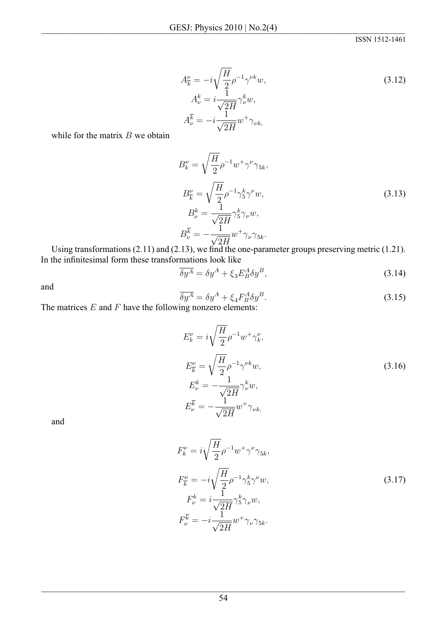$$
A_{\overline{k}}^{\nu} = -i\sqrt{\frac{H}{2}}\rho^{-1}\gamma^{\nu k}w,
$$
  
\n
$$
A_{\nu}^{k} = i\frac{1}{\sqrt{2H}}\gamma_{\nu}^{k}w,
$$
  
\n
$$
A_{\nu}^{\overline{k}} = -i\frac{1}{\sqrt{2H}}w^{+}\gamma_{\nu k},
$$
\n(3.12)

while for the matrix  $B$  we obtain

$$
B_k^{\nu} = \sqrt{\frac{H}{2}} \rho^{-1} w^+ \gamma^{\nu} \gamma_{5k},
$$
  
\n
$$
B_k^{\nu} = \sqrt{\frac{H}{2}} \rho^{-1} \gamma_5^k \gamma^{\nu} w,
$$
  
\n
$$
B_{\nu}^k = \frac{1}{\sqrt{2H}} \gamma_5^k \gamma_{\nu} w,
$$
  
\n
$$
B_{\nu}^{\overline{k}} = -\frac{1}{\sqrt{2H}} w^+ \gamma_{\nu} \gamma_{5k}.
$$
  
\n2.12) we find the case measure representing metric (1.21).

Using transformations  $(2.11)$  and  $(2.13)$ , we find the one-parameter groups preserving metric  $(1.21)$ . In the infinitesimal form these transformations look like

$$
\overline{\delta y^A} = \delta y^A + \xi_3 E^A_B \delta y^B, \tag{3.14}
$$

and

$$
\overline{\delta y^A} = \delta y^A + \xi_4 F_B^A \delta y^B.
$$
\n(3.15)

The matrices  $E$  and  $F$  have the following nonzero elements:

$$
E_k^{\nu} = i\sqrt{\frac{H}{2}}\rho^{-1}w^{+}\gamma_k^{\nu},
$$
  
\n
$$
E_{\overline{k}}^{\nu} = \sqrt{\frac{H}{2}}\rho^{-1}\gamma^{\nu k}w,
$$
  
\n
$$
E_{\nu}^{k} = -\frac{1}{\sqrt{2H}}\gamma_{\nu}^{k}w,
$$
  
\n
$$
E_{\nu}^{\overline{k}} = -\frac{1}{\sqrt{2H}}w^{+}\gamma_{\nu k},
$$
\n(3.16)

and

$$
F_k^{\nu} = i\sqrt{\frac{H}{2}}\rho^{-1}w^{+}\gamma^{\nu}\gamma_{5k},
$$
  
\n
$$
F_{\overline{k}}^{\nu} = -i\sqrt{\frac{H}{2}}\rho^{-1}\gamma_5^{k}\gamma^{\nu}w,
$$
  
\n
$$
F_{\nu}^{k} = i\frac{1}{\sqrt{2H}}\gamma_5^{k}\gamma_{\nu}w,
$$
  
\n
$$
F_{\nu}^{\overline{k}} = -i\frac{1}{\sqrt{2H}}w^{+}\gamma_{\nu}\gamma_{5k}.
$$
\n(3.17)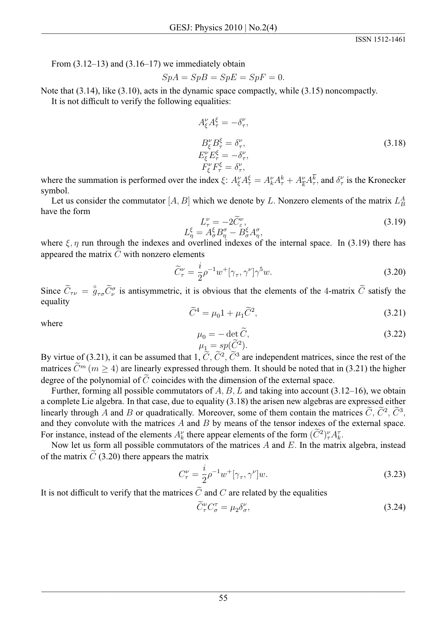From  $(3.12-13)$  and  $(3.16-17)$  we immediately obtain

$$
SpA = SpB = SpE = SpF = 0.
$$

Note that  $(3.14)$ , like  $(3.10)$ , acts in the dynamic space compactly, while  $(3.15)$  noncompactly. It is not difficult to verify the following equalities:

$$
A_{\xi}^{\nu} A_{\tau}^{\xi} = -\delta_{\tau}^{\nu},
$$
  
\n
$$
B_{\xi}^{\nu} B_{\tau}^{\xi} = \delta_{\tau}^{\nu},
$$
  
\n
$$
E_{\xi}^{\nu} E_{\tau}^{\xi} = -\delta_{\tau}^{\nu},
$$
  
\n
$$
F_{\xi}^{\nu} F_{\tau}^{\xi} = \delta_{\tau}^{\nu},
$$
  
\n(3.18)

where the summation is performed over the index  $\xi$ :  $A_{\xi}^{\nu}A_{\tau}^{\xi} = A_{k}^{\nu}A_{\tau}^{k} + A_{\overline{k}}^{\nu}A_{\tau}^{\overline{k}}$ , and  $\delta_{\tau}^{\nu}$  is the Kronecker symbol.

Let us consider the commutator [A, B] which we denote by L. Nonzero elements of the matrix  $L_R^A$ have the form

$$
L_{\tau}^{\nu} = -2\widetilde{C}_{\varepsilon}^{\nu},
$$
  
\n
$$
L_{n}^{\xi} = A_{\sigma}^{\xi}B_{n}^{\sigma} - B_{\sigma}^{\xi}A_{n}^{\sigma},
$$
\n(3.19)

where  $\xi$ ,  $\eta$  run through the indexes and overlined indexes of the internal space. In (3.19) there has appeared the matrix  $\tilde{C}$  with nonzero elements

$$
\widetilde{C}_{\tau}^{\nu} = \frac{i}{2} \rho^{-1} w^+ [\gamma_{\tau}, \gamma^{\nu}] \gamma^5 w.
$$
\n(3.20)

Since  $\widetilde{C}_{\tau\nu} = \overset{\circ}{g}_{\tau\sigma}\widetilde{C}_{\nu}^{\sigma}$  is antisymmetric, it is obvious that the elements of the 4-matrix  $\widetilde{C}$  satisfy the equality

$$
\tilde{C}^4 = \mu_0 1 + \mu_1 \tilde{C}^2,\tag{3.21}
$$

where

$$
\mu_0 = -\det \widetilde{C}, \n\mu_1 = sp(\widetilde{C}^2).
$$
\n(3.22)

By virtue of (3.21), it can be assumed that 1,  $\tilde{C}$ ,  $\tilde{C}^2$ ,  $\tilde{C}^3$  are independent matrices, since the rest of the matrices  $\tilde{C}^m$  ( $m > 4$ ) are linearly expressed through them. It should be noted that in (3.21) the higher degree of the polynomial of  $\tilde{C}$  coincides with the dimension of the external space.

Further, forming all possible commutators of A, B, L and taking into account  $(3.12-16)$ , we obtain a complete Lie algebra. In that case, due to equality (3.18) the arisen new algebras are expressed either linearly through A and B or quadratically. Moreover, some of them contain the matrices  $\tilde{C}$ ,  $\tilde{C}^2$ ,  $\tilde{C}^3$ , and they convolute with the matrices  $A$  and  $B$  by means of the tensor indexes of the external space. For instance, instead of the elements  $A_k^{\nu}$  there appear elements of the form  $(\widetilde{C}^2)^{\nu}_* A_k^{\tau}$ .

Now let us form all possible commutators of the matrices  $A$  and  $E$ . In the matrix algebra, instead of the matrix  $\tilde{C}$  (3.20) there appears the matrix

$$
C_{\tau}^{\nu} = \frac{i}{2} \rho^{-1} w^{+} [\gamma_{\tau}, \gamma^{\nu}] w.
$$
 (3.23)

It is not difficult to verify that the matrices  $\tilde{C}$  and C are related by the equalities

$$
\widetilde{C}_{\tau}^{\nu} C_{\sigma}^{\tau} = \mu_2 \delta_{\sigma}^{\nu},\tag{3.24}
$$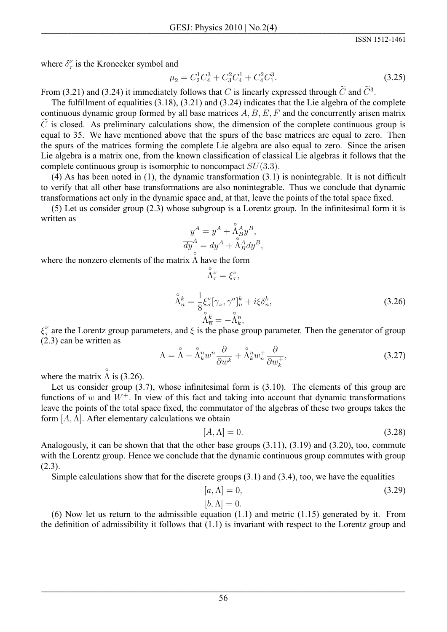where  $\delta_{\tau}^{\nu}$  is the Kronecker symbol and

$$
\mu_2 = C_2^1 C_4^3 + C_3^2 C_4^1 + C_4^2 C_1^3. \tag{3.25}
$$

From (3.21) and (3.24) it immediately follows that C is linearly expressed through  $\tilde{C}$  and  $\tilde{C}^3$ .

The fulfillment of equalities  $(3.18)$ ,  $(3.21)$  and  $(3.24)$  indicates that the Lie algebra of the complete continuous dynamic group formed by all base matrices  $A, B, E, F$  and the concurrently arisen matrix  $\tilde{C}$  is closed. As preliminary calculations show, the dimension of the complete continuous group is equal to 35. We have mentioned above that the spurs of the base matrices are equal to zero. Then the spurs of the matrices forming the complete Lie algebra are also equal to zero. Since the arisen Lie algebra is a matrix one, from the known classification of classical Lie algebras it follows that the complete continuous group is isomorphic to noncompact  $SU(3.3)$ .

(4) As has been noted in  $(1)$ , the dynamic transformation  $(3.1)$  is nonintegrable. It is not difficult to verify that all other base transformations are also nonintegrable. Thus we conclude that dynamic transformations act only in the dynamic space and, at that, leave the points of the total space fixed.

 $(5)$  Let us consider group  $(2.3)$  whose subgroup is a Lorentz group. In the infinitesimal form it is written as

$$
\overline{y}^A = y^A + \overset{\circ}{\Lambda}^A_B y^B,
$$
  
\n
$$
\overline{dy}^A = dy^A + \overset{\circ}{\Lambda}^A_B dy^B,
$$

where the nonzero elements of the matrix  $\tilde{\Lambda}$  have the form

$$
\Lambda_{\tau}^{\nu} = \xi_{\tau}^{\nu},
$$
\n
$$
\hat{\Lambda}_{n}^{k} = \frac{1}{8} \xi_{\sigma}^{\nu} [\gamma_{\nu}, \gamma^{\sigma}]_{n}^{k} + i \xi \delta_{n}^{k},
$$
\n
$$
\hat{\Lambda}_{\overline{n}}^{\overline{k}} = -\hat{\Lambda}_{k}^{n},
$$
\n(3.26)

 $\xi_{\tau}^{\nu}$  are the Lorentz group parameters, and  $\xi$  is the phase group parameter. Then the generator of group  $(2.3)$  can be written as

$$
\Lambda = \mathring{\Lambda} - \mathring{\Lambda}_k^n w^n \frac{\partial}{\partial w^k} + \mathring{\Lambda}_k^n w_n^+ \frac{\partial}{\partial w_k^+},\tag{3.27}
$$

where the matrix  $\tilde{\Lambda}$  is (3.26).

Let us consider group  $(3.7)$ , whose infinitesimal form is  $(3.10)$ . The elements of this group are functions of w and  $W^+$ . In view of this fact and taking into account that dynamic transformations leave the points of the total space fixed, the commutator of the algebras of these two groups takes the form  $[A, \Lambda]$ . After elementary calculations we obtain

$$
[A, \Lambda] = 0. \tag{3.28}
$$

Analogously, it can be shown that that the other base groups  $(3.11)$ ,  $(3.19)$  and  $(3.20)$ , too, commute with the Lorentz group. Hence we conclude that the dynamic continuous group commutes with group  $(2.3).$ 

Simple calculations show that for the discrete groups  $(3.1)$  and  $(3.4)$ , too, we have the equalities

$$
[a,\Lambda]=0,\t(3.29)
$$

# $[b,\Lambda]=0.$

(6) Now let us return to the admissible equation  $(1.1)$  and metric  $(1.15)$  generated by it. From the definition of admissibility it follows that  $(1.1)$  is invariant with respect to the Lorentz group and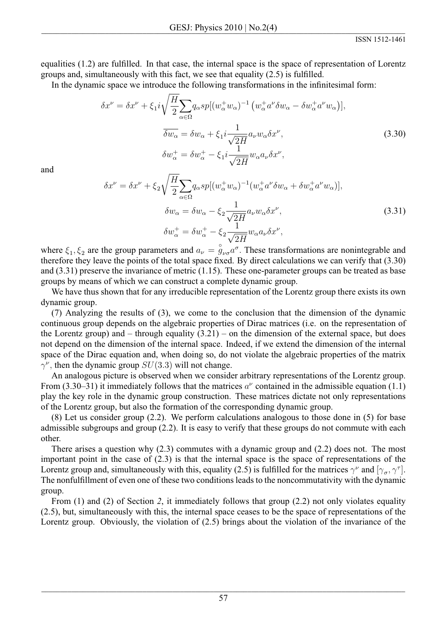equalities (1.2) are fulfilled. In that case, the internal space is the space of representation of Lorentz groups and, simultaneously with this fact, we see that equality  $(2.5)$  is fulfilled.

In the dynamic space we introduce the following transformations in the infinitesimal form:

$$
\delta x^{\nu} = \delta x^{\nu} + \xi_1 i \sqrt{\frac{H}{2}} \sum_{\alpha \in \Omega} q_{\alpha} sp[(w_{\alpha}^+ w_{\alpha})^{-1} (w_{\alpha}^+ a^{\nu} \delta w_{\alpha} - \delta w_{\alpha}^+ a^{\nu} w_{\alpha})],
$$
  

$$
\overline{\delta w_{\alpha}} = \delta w_{\alpha} + \xi_1 i \frac{1}{\sqrt{2H}} a_{\nu} w_{\alpha} \delta x^{\nu},
$$
  

$$
\delta w_{\alpha}^+ = \delta w_{\alpha}^+ - \xi_1 i \frac{1}{\sqrt{2H}} w_{\alpha} a_{\nu} \delta x^{\nu},
$$
\n(3.30)

and

$$
\delta x^{\nu} = \delta x^{\nu} + \xi_2 \sqrt{\frac{H}{2}} \sum_{\alpha \in \Omega} q_{\alpha} s p [(w_{\alpha}^+ w_{\alpha})^{-1} (w_{\alpha}^+ a^{\nu} \delta w_{\alpha} + \delta w_{\alpha}^+ a^{\nu} w_{\alpha})],
$$
  
\n
$$
\delta w_{\alpha} = \delta w_{\alpha} - \xi_2 \frac{1}{\sqrt{2H}} a_{\nu} w_{\alpha} \delta x^{\nu},
$$
  
\n
$$
\delta w_{\alpha}^+ = \delta w_{\alpha}^+ - \xi_2 \frac{1}{\sqrt{2H}} w_{\alpha} a_{\nu} \delta x^{\nu},
$$
\n(3.31)

where  $\xi_1, \xi_2$  are the group parameters and  $a_{\nu} = \tilde{g}_{\nu\sigma} a^{\sigma}$ . These transformations are nonintegrable and therefore they leave the points of the total space fixed. By direct calculations we can verify that  $(3.30)$ and  $(3.31)$  preserve the invariance of metric  $(1.15)$ . These one-parameter groups can be treated as base groups by means of which we can construct a complete dynamic group.

We have thus shown that for any irreducible representation of the Lorentz group there exists its own dynamic group.

(7) Analyzing the results of (3), we come to the conclusion that the dimension of the dynamic continuous group depends on the algebraic properties of Dirac matrices (i.e. on the representation of the Lorentz group) and – through equality  $(3.21)$  – on the dimension of the external space, but does not depend on the dimension of the internal space. Indeed, if we extend the dimension of the internal space of the Dirac equation and, when doing so, do not violate the algebraic properties of the matrix  $\gamma^{\nu}$ , then the dynamic group  $SU(3.3)$  will not change.

An analogous picture is observed when we consider arbitrary representations of the Lorentz group. From (3.30–31) it immediately follows that the matrices  $a^{\nu}$  contained in the admissible equation (1.1) play the key role in the dynamic group construction. These matrices dictate not only representations of the Lorentz group, but also the formation of the corresponding dynamic group.

 $(8)$  Let us consider group (2.2). We perform calculations analogous to those done in (5) for base admissible subgroups and group  $(2.2)$ . It is easy to verify that these groups do not commute with each other.

There arises a question why  $(2.3)$  commutes with a dynamic group and  $(2.2)$  does not. The most important point in the case of  $(2.3)$  is that the internal space is the space of representations of the Lorentz group and, simultaneously with this, equality (2.5) is fulfilled for the matrices  $\gamma^{\nu}$  and  $[\gamma_{\sigma}, \gamma^{\tau}]$ . The nonfulfillment of even one of these two conditions leads to the noncommutativity with the dynamic group.

From  $(1)$  and  $(2)$  of Section 2, it immediately follows that group  $(2.2)$  not only violates equality (2.5), but, simultaneously with this, the internal space ceases to be the space of representations of the Lorentz group. Obviously, the violation of  $(2.5)$  brings about the violation of the invariance of the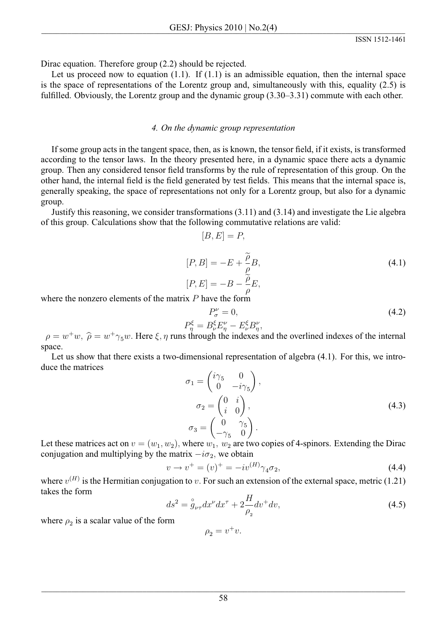Dirac equation. Therefore group  $(2.2)$  should be rejected.

Let us proceed now to equation  $(1.1)$ . If  $(1.1)$  is an admissible equation, then the internal space is the space of representations of the Lorentz group and, simultaneously with this, equality  $(2.5)$  is fulfilled. Obviously, the Lorentz group and the dynamic group (3.30–3.31) commute with each other.

## 4. On the dynamic group representation

If some group acts in the tangent space, then, as is known, the tensor field, if it exists, is transformed according to the tensor laws. In the theory presented here, in a dynamic space there acts a dynamic group. Then any considered tensor field transforms by the rule of representation of this group. On the other hand, the internal field is the field generated by test fields. This means that the internal space is, generally speaking, the space of representations not only for a Lorentz group, but also for a dynamic group.

Justify this reasoning, we consider transformations  $(3.11)$  and  $(3.14)$  and investigate the Lie algebra of this group. Calculations show that the following commutative relations are valid:

$$
[B, E] = P,
$$

$$
[P, B] = -E + \frac{\tilde{\rho}}{\rho} B,
$$
  
\n
$$
[P, E] = -B - \frac{\tilde{\rho}}{\rho} E,
$$
\n(4.1)

where the nonzero elements of the matrix  $P$  have the form

$$
P_{\sigma}^{\nu} = 0,
$$
\n
$$
P_{n}^{\xi} = B_{\nu}^{\xi} E_{n}^{\nu} - E_{\nu}^{\xi} B_{n}^{\nu},
$$
\n(4.2)

 $\rho = w^+w$ ,  $\hat{\rho} = w^+\gamma_5w$ . Here  $\xi, \eta$  runs through the indexes and the overlined indexes of the internal space.

Let us show that there exists a two-dimensional representation of algebra (4.1). For this, we introduce the matrices

$$
\sigma_1 = \begin{pmatrix} i\gamma_5 & 0 \\ 0 & -i\gamma_5 \end{pmatrix},
$$
  
\n
$$
\sigma_2 = \begin{pmatrix} 0 & i \\ i & 0 \end{pmatrix},
$$
  
\n
$$
\sigma_3 = \begin{pmatrix} 0 & \gamma_5 \\ -\gamma_5 & 0 \end{pmatrix}.
$$
  
\n(4.3)

Let these matrices act on  $v = (w_1, w_2)$ , where  $w_1, w_2$  are two copies of 4-spinors. Extending the Dirac conjugation and multiplying by the matrix  $-i\sigma_2$ , we obtain

$$
v \to v^+ = (v)^+ = -iv^{(H)}\gamma_4\sigma_2,\tag{4.4}
$$

where  $v^{(H)}$  is the Hermitian conjugation to v. For such an extension of the external space, metric (1.21) takes the form

$$
ds^{2} = \overset{\circ}{g}_{\nu\tau} dx^{\nu} dx^{\tau} + 2\frac{H}{\rho_{2}} dv^{+} dv,
$$
\n(4.5)

where  $\rho_2$  is a scalar value of the form

$$
\rho_2 = v^+ v.
$$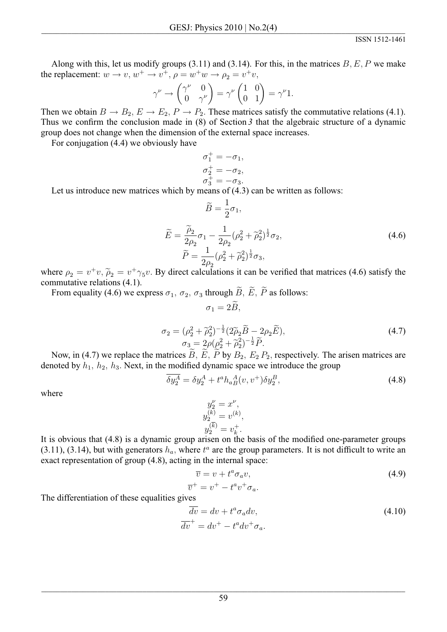Along with this, let us modify groups (3.11) and (3.14). For this, in the matrices  $B, E, P$  we make the replacement:  $w \to v$ ,  $w^+ \to v^+$ ,  $\rho = w^+w \to \rho_2 = v^+v$ ,

$$
\gamma^{\nu} \to \begin{pmatrix} \gamma^{\nu} & 0 \\ 0 & \gamma^{\nu} \end{pmatrix} = \gamma^{\nu} \begin{pmatrix} 1 & 0 \\ 0 & 1 \end{pmatrix} = \gamma^{\nu} 1.
$$

Then we obtain  $B \to B_2$ ,  $E \to E_2$ ,  $P \to P_2$ . These matrices satisfy the commutative relations (4.1). Thus we confirm the conclusion made in  $(8)$  of Section 3 that the algebraic structure of a dynamic group does not change when the dimension of the external space increases.

For conjugation (4.4) we obviously have

$$
\begin{aligned}\n\sigma_1^+ &= -\sigma_1, \\
\sigma_2^+ &= -\sigma_2, \\
\sigma_3^+ &= -\sigma_3.\n\end{aligned}
$$

 $\widetilde{B}=\frac{1}{2}\sigma_1,$ 

Let us introduce new matrices which by means of  $(4.3)$  can be written as follows:

$$
\widetilde{E} = \frac{\widetilde{\rho}_2}{2\rho_2} \sigma_1 - \frac{1}{2\rho_2} (\rho_2^2 + \widetilde{\rho}_2^2)^{\frac{1}{2}} \sigma_2, \n\widetilde{P} = \frac{1}{2\rho_2} (\rho_2^2 + \widetilde{\rho}_2^2)^{\frac{1}{2}} \sigma_3,
$$
\n(4.6)

where  $\rho_2 = v^+v$ ,  $\tilde{\rho}_2 = v^+\gamma_5v$ . By direct calculations it can be verified that matrices (4.6) satisfy the commutative relations (4.1).

 $\sigma_1 = 2\widetilde{B}$ ,

From equality (4.6) we express  $\sigma_1$ ,  $\sigma_2$ ,  $\sigma_3$  through  $\widetilde{B}$ ,  $\widetilde{E}$ ,  $\widetilde{P}$  as follows:

$$
\sigma_2 = (\rho_2^2 + \tilde{\rho}_2^2)^{-\frac{1}{2}} (2\tilde{\rho}_2 \tilde{B} - 2\rho_2 \tilde{E}), \n\sigma_3 = 2\rho(\rho_2^2 + \tilde{\rho}_2^2)^{-\frac{1}{2}} \tilde{P}.
$$
\n(4.7)

Now, in (4.7) we replace the matrices  $\widetilde{B}$ ,  $\widetilde{E}$ ,  $\widetilde{P}$  by  $B_2$ ,  $E_2 P_2$ , respectively. The arisen matrices are denoted by  $h_1$ ,  $h_2$ ,  $h_3$ . Next, in the modified dynamic space we introduce the group

$$
\overline{\delta y_2^A} = \delta y_2^A + t^a h_a{}^A_B(v, v^+) \delta y_2^B,
$$
\n(4.8)

where

$$
y_2^{\nu} = x^{\nu},
$$
  
\n
$$
y_2^{(k)} = v^{(k)},
$$
  
\n
$$
y_2^{(\overline{k})} = v_k^+.
$$

It is obvious that (4.8) is a dynamic group arisen on the basis of the modified one-parameter groups  $(3.11)$ ,  $(3.14)$ , but with generators  $h_a$ , where  $t^a$  are the group parameters. It is not difficult to write an exact representation of group (4.8), acting in the internal space:

$$
\overline{v} = v + t^a \sigma_a v,\tag{4.9}
$$

$$
\overline{v}^+ = v^+ - t^a v^+ \sigma_a.
$$

The differentiation of these equalities gives

$$
\overline{dv} = dv + t^a \sigma_a dv,
$$
  
\n
$$
\overline{dv}^+ = dv^+ - t^a dv^+ \sigma_a.
$$
\n(4.10)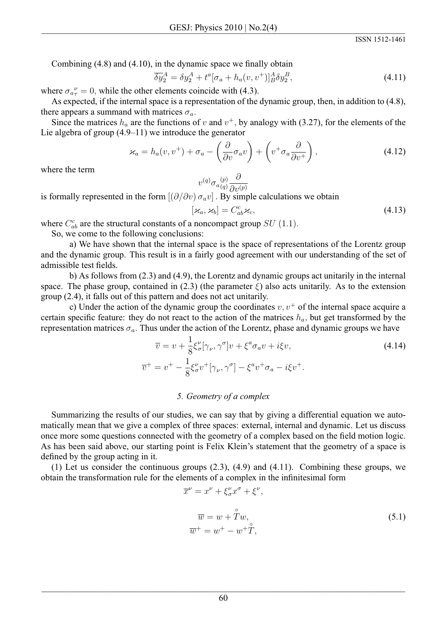Combining  $(4.8)$  and  $(4.10)$ , in the dynamic space we finally obtain

$$
\overline{\delta y}_2^A = \delta y_2^A + t^a [\sigma_a + h_a(v, v^+)]_B^A \delta y_2^B,
$$
\n(4.11)

where  $\sigma_{a\tau}^{\nu} = 0$ , while the other elements coincide with (4.3).

As expected, if the internal space is a representation of the dynamic group, then, in addition to (4.8), there appears a summand with matrices  $\sigma_a$ .

Since the matrices  $h_a$  are the functions of v and  $v^+$ , by analogy with (3.27), for the elements of the Lie algebra of group  $(4.9-11)$  we introduce the generator

$$
\varkappa_a = h_a(v, v^+) + \sigma_a - \left(\frac{\partial}{\partial v}\sigma_a v\right) + \left(v^+\sigma_a \frac{\partial}{\partial v^+}\right),\tag{4.12}
$$

where the term

$$
v^{(q)}\sigma_{a(q)}^{(p)}\frac{\partial}{\partial v^{(p)}}
$$

is formally represented in the form  $[(\partial/\partial v) \sigma_a v]$ . By simple calculations we obtain

$$
[\varkappa_a, \varkappa_b] = C^c_{ab} \varkappa_c, \tag{4.13}
$$

where  $C_{ab}^c$  are the structural constants of a noncompact group  $SU(1.1)$ .

So, we come to the following conclusions:

a) We have shown that the internal space is the space of representations of the Lorentz group and the dynamic group. This result is in a fairly good agreement with our understanding of the set of admissible test fields.

b) As follows from  $(2.3)$  and  $(4.9)$ , the Lorentz and dynamic groups act unitarily in the internal space. The phase group, contained in (2.3) (the parameter  $\xi$ ) also acts unitarily. As to the extension group (2.4), it falls out of this pattern and does not act unitarily.

c) Under the action of the dynamic group the coordinates  $v, v^+$  of the internal space acquire a certain specific feature: they do not react to the action of the matrices  $h_a$ , but get transformed by the representation matrices  $\sigma_a$ . Thus under the action of the Lorentz, phase and dynamic groups we have

$$
\overline{v} = v + \frac{1}{8} \xi_{\sigma}^{\nu} [\gamma_{\nu}, \gamma^{\sigma}] v + \xi^{a} \sigma_{a} v + i \xi v,
$$
\n
$$
\overline{v}^{+} = v^{+} - \frac{1}{8} \xi_{\sigma}^{\nu} v^{+} [\gamma_{\nu}, \gamma^{\sigma}] - \xi^{a} v^{+} \sigma_{a} - i \xi v^{+}.
$$
\n(4.14)

### 5. Geometry of a complex

Summarizing the results of our studies, we can say that by giving a differential equation we automatically mean that we give a complex of three spaces: external, internal and dynamic. Let us discuss once more some questions connected with the geometry of a complex based on the field motion logic. As has been said above, our starting point is Felix Klein's statement that the geometry of a space is defined by the group acting in it.

(1) Let us consider the continuous groups  $(2.3)$ ,  $(4.9)$  and  $(4.11)$ . Combining these groups, we obtain the transformation rule for the elements of a complex in the infinitesimal form

$$
\overline{x}^{\nu} = x^{\nu} + \xi_{\sigma}^{\nu} x^{\sigma} + \xi^{\nu},
$$
  
\n
$$
\overline{w} = w + \mathring{T}w,
$$
  
\n
$$
\overline{w}^{+} = w^{+} - w^{+} \mathring{T},
$$
\n(5.1)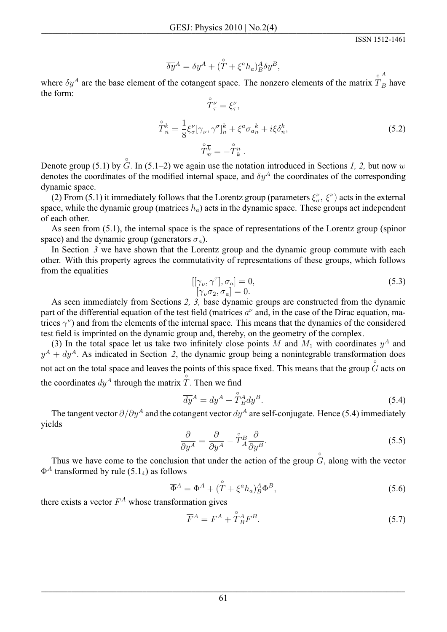$$
\overline{\delta y}{}^A = \delta y^A + (\overset{\circ}{T} + \xi^a h_a)_{B}^A \delta y^B,
$$

where  $\delta y^A$  are the base element of the cotangent space. The nonzero elements of the matrix  $\hat{T}_B$  have the form:

$$
\widetilde{T}_{\tau}^{\nu} = \xi_{\tau}^{\nu},
$$
\n
$$
\widehat{T}_{n}^{k} = \frac{1}{8} \xi_{\sigma}^{\nu} [\gamma_{\nu}, \gamma^{\sigma}]_{n}^{k} + \xi^{a} \sigma_{an}^{k} + i \xi \delta_{n}^{k},
$$
\n
$$
\widehat{T}_{\overline{n}}^{\overline{k}} = -\widehat{T}_{k}^{n}.
$$
\n(5.2)

Denote group (5.1) by  $G$ . In (5.1–2) we again use the notation introduced in Sections 1, 2, but now w denotes the coordinates of the modified internal space, and  $\delta y^A$  the coordinates of the corresponding dynamic space.

(2) From (5.1) it immediately follows that the Lorentz group (parameters  $\xi_{\sigma}^{\nu}$ ,  $\xi^{\nu}$ ) acts in the external space, while the dynamic group (matrices  $h_a$ ) acts in the dynamic space. These groups act independent of each other.

As seen from (5.1), the internal space is the space of representations of the Lorentz group (spinor space) and the dynamic group (generators  $\sigma_a$ ).

In Section  $\beta$  we have shown that the Lorentz group and the dynamic group commute with each other. With this property agrees the commutativity of representations of these groups, which follows from the equalities

$$
[[\gamma_{\nu}, \gamma^{\tau}], \sigma_a] = 0,
$$
  
\n
$$
[\gamma_{\nu}\sigma_2, \sigma_a] = 0.
$$
\n(5.3)

As seen immediately from Sections 2, 3, base dynamic groups are constructed from the dynamic part of the differential equation of the test field (matrices  $a^{\nu}$  and, in the case of the Dirac equation, matrices  $\gamma^{\nu}$  and from the elements of the internal space. This means that the dynamics of the considered test field is imprinted on the dynamic group and, thereby, on the geometry of the complex.

(3) In the total space let us take two infinitely close points M and  $M_1$  with coordinates  $y^A$  and  $y^A + dy^A$ . As indicated in Section 2, the dynamic group being a nonintegrable transformation does not act on the total space and leaves the points of this space fixed. This means that the group  $\tilde{G}$  acts on the coordinates  $du^A$  through the matrix  $\tilde{T}$ . Then we find

$$
\overline{dy}^A = dy^A + \mathring{T}_B^A dy^B. \tag{5.4}
$$

The tangent vector  $\partial/\partial y^A$  and the cotangent vector  $dy^A$  are self-conjugate. Hence (5.4) immediately vields

$$
\frac{\overline{\partial}}{\partial y^A} = \frac{\partial}{\partial y^A} - \mathring{T}_A^B \frac{\partial}{\partial y^B}.
$$
\n(5.5)

Thus we have come to the conclusion that under the action of the group  $\hat{G}$ , along with the vector  $\Phi^A$  transformed by rule (5.1<sub>4</sub>) as follows

$$
\overline{\Phi}^A = \Phi^A + (\mathring{T} + \xi^a h_a)_B^A \Phi^B, \tag{5.6}
$$

there exists a vector  $F^A$  whose transformation gives

$$
\overline{F}^A = F^A + \mathring{T}_B^A F^B. \tag{5.7}
$$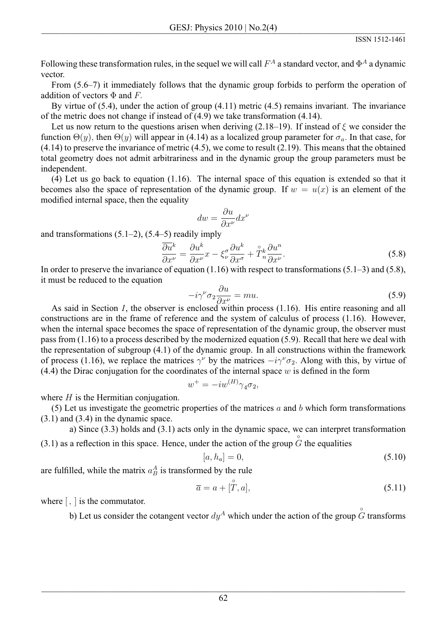Following these transformation rules, in the sequel we will call  $F^A$  a standard vector, and  $\Phi^A$  a dynamic vector.

From  $(5.6-7)$  it immediately follows that the dynamic group forbids to perform the operation of addition of vectors  $\Phi$  and F.

By virtue of  $(5.4)$ , under the action of group  $(4.11)$  metric  $(4.5)$  remains invariant. The invariance of the metric does not change if instead of  $(4.9)$  we take transformation  $(4.14)$ .

Let us now return to the questions arisen when deriving (2.18–19). If instead of  $\xi$  we consider the function  $\Theta(y)$ , then  $\Theta(y)$  will appear in (4.14) as a localized group parameter for  $\sigma_a$ . In that case, for  $(4.14)$  to preserve the invariance of metric  $(4.5)$ , we come to result  $(2.19)$ . This means that the obtained total geometry does not admit arbitrariness and in the dynamic group the group parameters must be independent.

 $(4)$  Let us go back to equation  $(1.16)$ . The internal space of this equation is extended so that it becomes also the space of representation of the dynamic group. If  $w = u(x)$  is an element of the modified internal space, then the equality

$$
dw = \frac{\partial u}{\partial x^{\nu}} dx^{\nu}
$$

and transformations  $(5.1-2)$ ,  $(5.4-5)$  readily imply

$$
\frac{\partial u^k}{\partial x^{\nu}} = \frac{\partial u^k}{\partial x^{\nu}} x - \xi^{\sigma}_{\nu} \frac{\partial u^k}{\partial x^{\sigma}} + \mathring{T}^k_n \frac{\partial u^n}{\partial x^{\nu}}.
$$
\n(5.8)

In order to preserve the invariance of equation  $(1.16)$  with respect to transformations  $(5.1-3)$  and  $(5.8)$ , it must be reduced to the equation

$$
-i\gamma^{\nu}\sigma_2 \frac{\partial u}{\partial x^{\nu}} = mu. \tag{5.9}
$$

As said in Section 1, the observer is enclosed within process (1.16). His entire reasoning and all constructions are in the frame of reference and the system of calculus of process (1.16). However, when the internal space becomes the space of representation of the dynamic group, the observer must pass from  $(1.16)$  to a process described by the modernized equation  $(5.9)$ . Recall that here we deal with the representation of subgroup  $(4.1)$  of the dynamic group. In all constructions within the framework of process (1.16), we replace the matrices  $\gamma^{\nu}$  by the matrices  $-i\gamma^{\nu}\sigma_2$ . Along with this, by virtue of  $(4.4)$  the Dirac conjugation for the coordinates of the internal space w is defined in the form

$$
w^+ = -iw^{(H)}\gamma_4\sigma_2,
$$

where  $H$  is the Hermitian conjugation.

(5) Let us investigate the geometric properties of the matrices  $a$  and  $b$  which form transformations  $(3.1)$  and  $(3.4)$  in the dynamic space.

a) Since  $(3.3)$  holds and  $(3.1)$  acts only in the dynamic space, we can interpret transformation

(3.1) as a reflection in this space. Hence, under the action of the group  $\hat{G}$  the equalities

$$
[a, h_a] = 0,\t(5.10)
$$

are fulfilled, while the matrix  $a_B^A$  is transformed by the rule

$$
\overline{a} = a + [\overset{\circ}{T}, a],\tag{5.11}
$$

where  $\lceil$ ,  $\rceil$  is the commutator.

b) Let us consider the cotangent vector  $dy^A$  which under the action of the group  $\ddot{G}$  transforms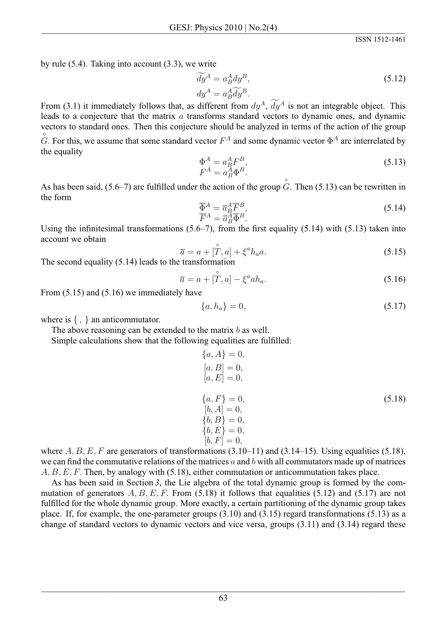by rule  $(5.4)$ . Taking into account  $(3.3)$ , we write

$$
\widetilde{dy}^{A} = a_{B}^{A} dy^{B},
$$
  
\n
$$
dy^{A} = a_{B}^{A} \widetilde{dy}^{B}.
$$
\n(5.12)

From (3.1) it immediately follows that, as different from  $dy^A$ ,  $\widetilde{dy}^A$  is not an integrable object. This leads to a conjecture that the matrix a transforms standard vectors to dynamic ones, and dynamic vectors to standard ones. Then this conjecture should be analyzed in terms of the action of the group  $\hat{G}$ . For this, we assume that some standard vector  $F^A$  and some dynamic vector  $\Phi^A$  are interrelated by the equality

$$
\Phi^A = a^A_B F^B, \nF^A = a^A_B \Phi^B.
$$
\n(5.13)

As has been said, (5.6–7) are fulfilled under the action of the group  $\hat{G}$ . Then (5.13) can be rewritten in the form

$$
\overline{\Phi}^A = \overline{a}^A_B \overline{F}^B, \n\overline{F}^A = \overline{a}^A_B \overline{\Phi}^B.
$$
\n(5.14)

Using the infinitesimal transformations  $(5.6-7)$ , from the first equality  $(5.14)$  with  $(5.13)$  taken into account we obtain

$$
\overline{a} = a + [\overset{\circ}{T}, a] + \xi^a h_a a. \tag{5.15}
$$

The second equality  $(5.14)$  leads to the transformation

$$
\overline{a} = a + [\overset{\circ}{T}, a] - \xi^a a h_a. \tag{5.16}
$$

From  $(5.15)$  and  $(5.16)$  we immediately have

$$
\{a, h_a\} = 0,\t\t(5.17)
$$

where is  $\{ , \}$  an anticommutator.

The above reasoning can be extended to the matrix  $b$  as well.

Simple calculations show that the following equalities are fulfilled:

$$
\{a, A\} = 0,\n[a, B] = 0,\n[a, E] = 0,\n\{a, F\} = 0,\n[b, A] = 0,\n\{b, B\} = 0,\n\{b, E\} = 0,\n[b, F] = 0,
$$
\n(5.18)

where A, B, E, F are generators of transformations  $(3.10-11)$  and  $(3.14-15)$ . Using equalities  $(5.18)$ , we can find the commutative relations of the matrices  $a$  and  $b$  with all commutators made up of matrices  $A, B, E, F$ . Then, by analogy with (5.18), either commutation or anticommutation takes place.

As has been said in Section 3, the Lie algebra of the total dynamic group is formed by the commutation of generators  $A, B, E, F$ . From (5.18) it follows that equalities (5.12) and (5.17) are not fulfilled for the whole dynamic group. More exactly, a certain partitioning of the dynamic group takes place. If, for example, the one-parameter groups  $(3.10)$  and  $(3.15)$  regard transformations  $(5.13)$  as a change of standard vectors to dynamic vectors and vice versa, groups  $(3.11)$  and  $(3.14)$  regard these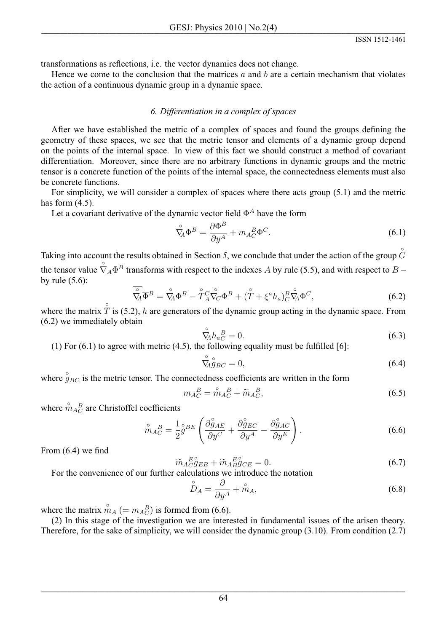transformations as reflections, *i.e.* the vector dynamics does not change.

Hence we come to the conclusion that the matrices  $a$  and  $b$  are a certain mechanism that violates the action of a continuous dynamic group in a dynamic space.

# 6. Differentiation in a complex of spaces

After we have established the metric of a complex of spaces and found the groups defining the geometry of these spaces, we see that the metric tensor and elements of a dynamic group depend on the points of the internal space. In view of this fact we should construct a method of covariant differentiation. Moreover, since there are no arbitrary functions in dynamic groups and the metric tensor is a concrete function of the points of the internal space, the connectedness elements must also be concrete functions.

For simplicity, we will consider a complex of spaces where there acts group  $(5.1)$  and the metric has form  $(4.5)$ .

Let a covariant derivative of the dynamic vector field  $\Phi^A$  have the form

$$
\mathring{\nabla}_{\!\!A} \Phi^B = \frac{\partial \Phi^B}{\partial y^A} + m_A{}^B_C \Phi^C.
$$
\n(6.1)

Taking into account the results obtained in Section 5, we conclude that under the action of the group  $\ddot{G}$ the tensor value  $\hat{\nabla}_A \Phi^B$  transforms with respect to the indexes A by rule (5.5), and with respect to B – by rule  $(5.6)$ :

$$
\overline{\hat{\nabla}_{A}}\overline{\Phi}^{B} = \overline{\hat{\nabla}}_{A}\Phi^{B} - \overline{\hat{T}}_{A}^{C}\overline{\hat{\nabla}}_{C}\Phi^{B} + (\overline{\hat{T}} + \xi^{a}h_{a})_{C}^{B}\overline{\hat{\nabla}}_{A}\Phi^{C},
$$
\n(6.2)

where the matrix  $\hat{T}$  is (5.2), h are generators of the dynamic group acting in the dynamic space. From  $(6.2)$  we immediately obtain

$$
\mathring{\nabla}_{\!\!A} h_{aC}^{\ B} = 0. \tag{6.3}
$$

(1) For  $(6.1)$  to agree with metric  $(4.5)$ , the following equality must be fulfilled [6]:

$$
\hat{\nabla}_A^{\circ}{}_{B C}^{\circ} = 0,\tag{6.4}
$$

where  $\hat{q}_{BC}$  is the metric tensor. The connectedness coefficients are written in the form

$$
m_A{}^B_C = \mathring{m}_A{}^B_C + \widetilde{m}_A{}^B_C,\tag{6.5}
$$

where  $\hat{m}_{AC}^{B}$  are Christoffel coefficients

$$
\mathring{m}_{AC}^{B} = \frac{1}{2} \mathring{g}^{BE} \left( \frac{\partial \mathring{g}_{AE}}{\partial y^{C}} + \frac{\partial \mathring{g}_{EC}}{\partial y^{A}} - \frac{\partial \mathring{g}_{AC}}{\partial y^{E}} \right). \tag{6.6}
$$

From  $(6.4)$  we find

$$
\widetilde{m}_{AC}^{E^{\circ}} g_{EB} + \widetilde{m}_{AB}^{E^{\circ}} g_{CE} = 0.
$$
\n(6.7)

For the convenience of our further calculations we introduce the notation

$$
\stackrel{\circ}{D}_A = \frac{\partial}{\partial y^A} + \stackrel{\circ}{m}_A,\tag{6.8}
$$

where the matrix  $\hat{m}_A$  (=  $m_A^B$ ) is formed from (6.6).

(2) In this stage of the investigation we are interested in fundamental issues of the arisen theory. Therefore, for the sake of simplicity, we will consider the dynamic group  $(3.10)$ . From condition  $(2.7)$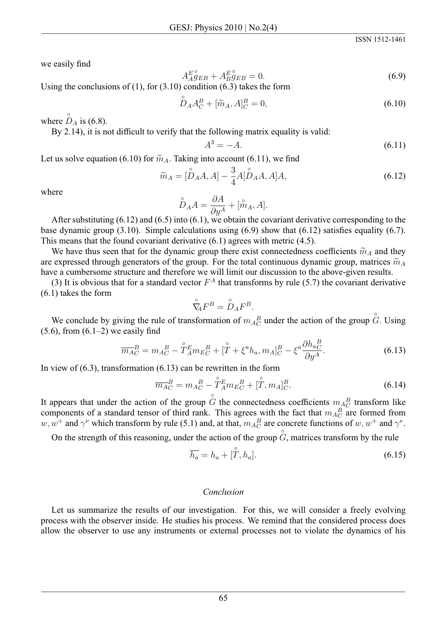we easily find

$$
A_{AGEE}^{E^{\circ}} + A_{BGEB}^{E^{\circ}} = 0.
$$
\n(6.9)

Using the conclusions of  $(1)$ , for  $(3.10)$  condition  $(6.3)$  takes the form

$$
\stackrel{\circ}{D}_A A_C^B + [\stackrel{\sim}{m}_A, A]_C^B = 0,\tag{6.10}
$$

where  $\stackrel{\circ}{D}_A$  is (6.8).

By 2.14), it is not difficult to verify that the following matrix equality is valid:

$$
A^3 = -A.\tag{6.11}
$$

Let us solve equation (6.10) for  $\widetilde{m}_A$ . Taking into account (6.11), we find

$$
\widetilde{m}_A = [\overset{\circ}{D}_A A, A] - \frac{3}{4} A [\overset{\circ}{D}_A A, A] A,\tag{6.12}
$$

where

$$
\overset{\circ}{D}_A A = \frac{\partial A}{\partial y^A} + [\overset{\circ}{m}_A, A].
$$

After substituting  $(6.12)$  and  $(6.5)$  into  $(6.1)$ , we obtain the covariant derivative corresponding to the base dynamic group (3.10). Simple calculations using (6.9) show that (6.12) satisfies equality (6.7). This means that the found covariant derivative  $(6.1)$  agrees with metric  $(4.5)$ .

We have thus seen that for the dynamic group there exist connectedness coefficients  $\tilde{m}_A$  and they are expressed through generators of the group. For the total continuous dynamic group, matrices  $\tilde{m}_A$ have a cumbersome structure and therefore we will limit our discussion to the above-given results.

(3) It is obvious that for a standard vector  $F^A$  that transforms by rule (5.7) the covariant derivative  $(6.1)$  takes the form

$$
\mathring{\nabla}_{\!\!A} F^B = \mathring{D}_A F^B.
$$

We conclude by giving the rule of transformation of  $m_{A_C}^B$  under the action of the group  $\ddot{G}$ . Using  $(5.6)$ , from  $(6.1–2)$  we easily find

$$
\overline{m}_{AC}^{B} = m_{AC}^{B} - \mathring{T}_{A}^{E} m_{EC}^{B} + [\mathring{T} + \xi^{a} h_{a}, m_{A}]_{C}^{B} - \xi^{a} \frac{\partial h_{aC}^{B}}{\partial y^{A}}.
$$
\n(6.13)

In view of  $(6.3)$ , transformation  $(6.13)$  can be rewritten in the form

$$
\overline{m_A}^B_C = m_A{}^B_C - \mathring{T}_A^E m_E{}^B_C + [\mathring{T}, m_A]^B_C. \tag{6.14}
$$

It appears that under the action of the group G the connectedness coefficients  $m_A^B$  transform like components of a standard tensor of third rank. This agrees with the fact that  $m_A^B_C$  are formed from  $w, w^+$  and  $\gamma^{\nu}$  which transform by rule (5.1) and, at that,  $m_A^B_C$  are concrete functions of  $w, w^+$  and  $\gamma^{\nu}$ 

On the strength of this reasoning, under the action of the group  $G$ , matrices transform by the rule

$$
\overline{h_a} = h_a + [\tilde{T}, h_a]. \tag{6.15}
$$

#### Conclusion

Let us summarize the results of our investigation. For this, we will consider a freely evolving process with the observer inside. He studies his process. We remind that the considered process does allow the observer to use any instruments or external processes not to violate the dynamics of his